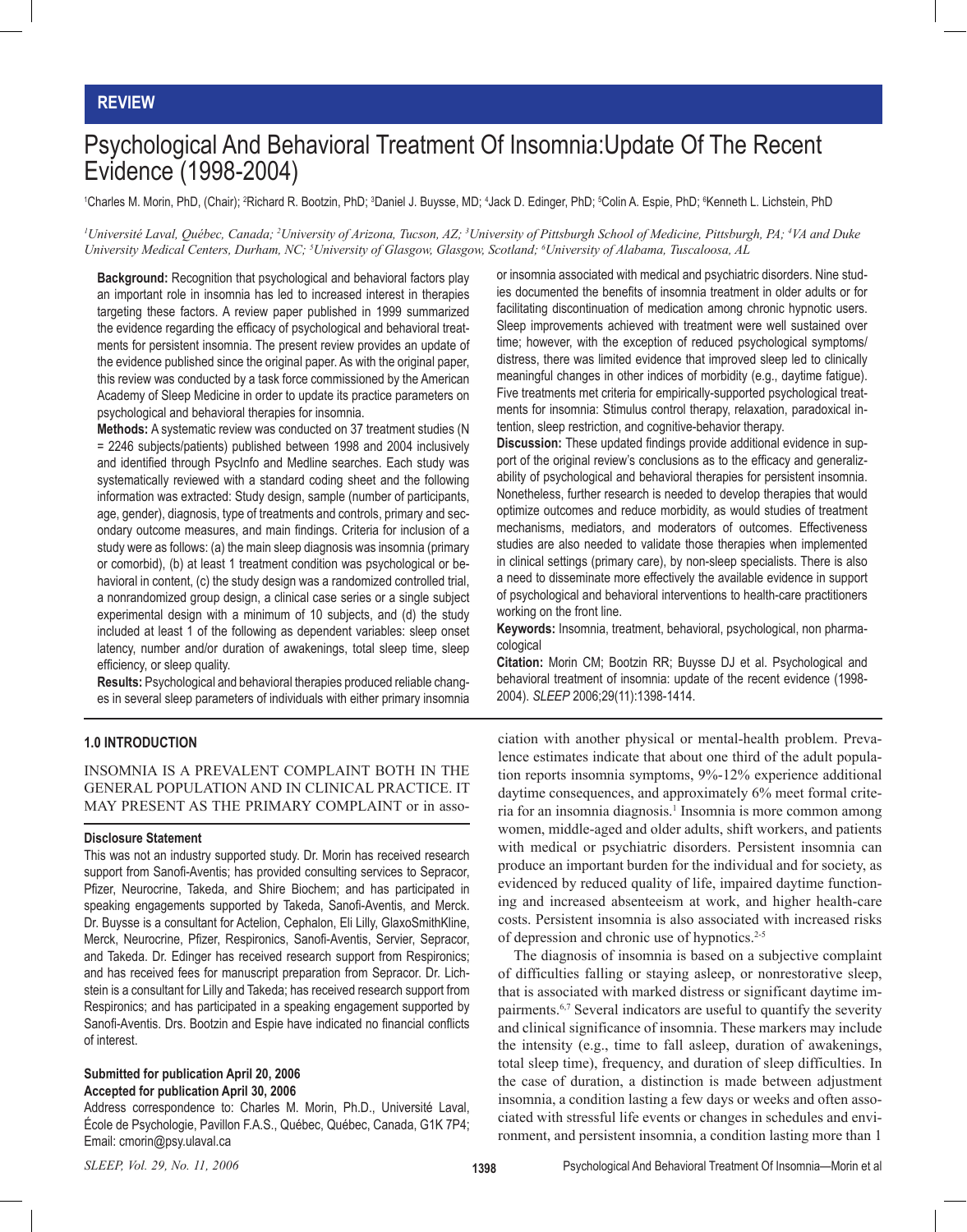## **REVIEW**

# Psychological And Behavioral Treatment Of Insomnia:Update Of The Recent Evidence (1998-2004)

'Charles M. Morin, PhD, (Chair); <del>?</del>Richard R. Bootzin, PhD; <sup>3</sup>Daniel J. Buysse, MD; <sup>4</sup>Jack D. Edinger, PhD; <sup>s</sup>Colin A. Espie, PhD; <sup>s</sup>Kenneth L. Lichstein, PhD

<sup>1</sup>Université Laval, Québec, Canada; <sup>2</sup>University of Arizona, Tucson, AZ; <sup>3</sup>University of Pittsburgh School of Medicine, Pittsburgh, PA; <sup>4</sup>VA and Duke *University Medical Centers, Durham, NC; 5 University of Glasgow, Glasgow, Scotland; 6 University of Alabama, Tuscaloosa, AL*

**Background:** Recognition that psychological and behavioral factors play an important role in insomnia has led to increased interest in therapies targeting these factors. A review paper published in 1999 summarized the evidence regarding the efficacy of psychological and behavioral treatments for persistent insomnia. The present review provides an update of the evidence published since the original paper. As with the original paper, this review was conducted by a task force commissioned by the American Academy of Sleep Medicine in order to update its practice parameters on psychological and behavioral therapies for insomnia.

**Methods:** A systematic review was conducted on 37 treatment studies (N = 2246 subjects/patients) published between 1998 and 2004 inclusively and identified through PsycInfo and Medline searches. Each study was systematically reviewed with a standard coding sheet and the following information was extracted: Study design, sample (number of participants, age, gender), diagnosis, type of treatments and controls, primary and secondary outcome measures, and main findings. Criteria for inclusion of a study were as follows: (a) the main sleep diagnosis was insomnia (primary or comorbid), (b) at least 1 treatment condition was psychological or behavioral in content, (c) the study design was a randomized controlled trial, a nonrandomized group design, a clinical case series or a single subject experimental design with a minimum of 10 subjects, and (d) the study included at least 1 of the following as dependent variables: sleep onset latency, number and/or duration of awakenings, total sleep time, sleep efficiency, or sleep quality.

**Results:** Psychological and behavioral therapies produced reliable changes in several sleep parameters of individuals with either primary insomnia

### **1.0 INTRODUCTION**

INSOMNIA IS A PREVALENT COMPLAINT BOTH IN THE GENERAL POPULATION AND IN CLINICAL PRACTICE. IT MAY PRESENT AS THE PRIMARY COMPLAINT or in asso-

#### **Disclosure Statement**

This was not an industry supported study. Dr. Morin has received research support from Sanofi-Aventis; has provided consulting services to Sepracor, Pfizer, Neurocrine, Takeda, and Shire Biochem; and has participated in speaking engagements supported by Takeda, Sanofi-Aventis, and Merck. Dr. Buysse is a consultant for Actelion, Cephalon, Eli Lilly, GlaxoSmithKline, Merck, Neurocrine, Pfizer, Respironics, Sanofi-Aventis, Servier, Sepracor, and Takeda. Dr. Edinger has received research support from Respironics; and has received fees for manuscript preparation from Sepracor. Dr. Lichstein is a consultant for Lilly and Takeda; has received research support from Respironics; and has participated in a speaking engagement supported by Sanofi-Aventis. Drs. Bootzin and Espie have indicated no financial conflicts of interest.

#### **Submitted for publication April 20, 2006 Accepted for publication April 30, 2006**

Address correspondence to: Charles M. Morin, Ph.D., Université Laval, École de Psychologie, Pavillon F.A.S., Québec, Québec, Canada, G1K 7P4; Email: cmorin@psy.ulaval.ca

or insomnia associated with medical and psychiatric disorders. Nine studies documented the benefits of insomnia treatment in older adults or for facilitating discontinuation of medication among chronic hypnotic users. Sleep improvements achieved with treatment were well sustained over time; however, with the exception of reduced psychological symptoms/ distress, there was limited evidence that improved sleep led to clinically meaningful changes in other indices of morbidity (e.g., daytime fatigue). Five treatments met criteria for empirically-supported psychological treatments for insomnia: Stimulus control therapy, relaxation, paradoxical intention, sleep restriction, and cognitive-behavior therapy.

**Discussion:** These updated findings provide additional evidence in support of the original review's conclusions as to the efficacy and generalizability of psychological and behavioral therapies for persistent insomnia. Nonetheless, further research is needed to develop therapies that would optimize outcomes and reduce morbidity, as would studies of treatment mechanisms, mediators, and moderators of outcomes. Effectiveness studies are also needed to validate those therapies when implemented in clinical settings (primary care), by non-sleep specialists. There is also a need to disseminate more effectively the available evidence in support of psychological and behavioral interventions to health-care practitioners working on the front line.

**Keywords:** Insomnia, treatment, behavioral, psychological, non pharmacological

**Citation:** Morin CM; Bootzin RR; Buysse DJ et al. Psychological and behavioral treatment of insomnia: update of the recent evidence (1998- 2004). *SLEEP* 2006;29(11):1398-1414.

ciation with another physical or mental-health problem. Prevalence estimates indicate that about one third of the adult population reports insomnia symptoms, 9%-12% experience additional daytime consequences, and approximately 6% meet formal criteria for an insomnia diagnosis.<sup>1</sup> Insomnia is more common among women, middle-aged and older adults, shift workers, and patients with medical or psychiatric disorders. Persistent insomnia can produce an important burden for the individual and for society, as evidenced by reduced quality of life, impaired daytime functioning and increased absenteeism at work, and higher health-care costs. Persistent insomnia is also associated with increased risks of depression and chronic use of hypnotics.<sup>2-5</sup>

 The diagnosis of insomnia is based on a subjective complaint of difficulties falling or staying asleep, or nonrestorative sleep, that is associated with marked distress or significant daytime impairments.6,7 Several indicators are useful to quantify the severity and clinical significance of insomnia. These markers may include the intensity (e.g., time to fall asleep, duration of awakenings, total sleep time), frequency, and duration of sleep difficulties. In the case of duration, a distinction is made between adjustment insomnia, a condition lasting a few days or weeks and often associated with stressful life events or changes in schedules and environment, and persistent insomnia, a condition lasting more than 1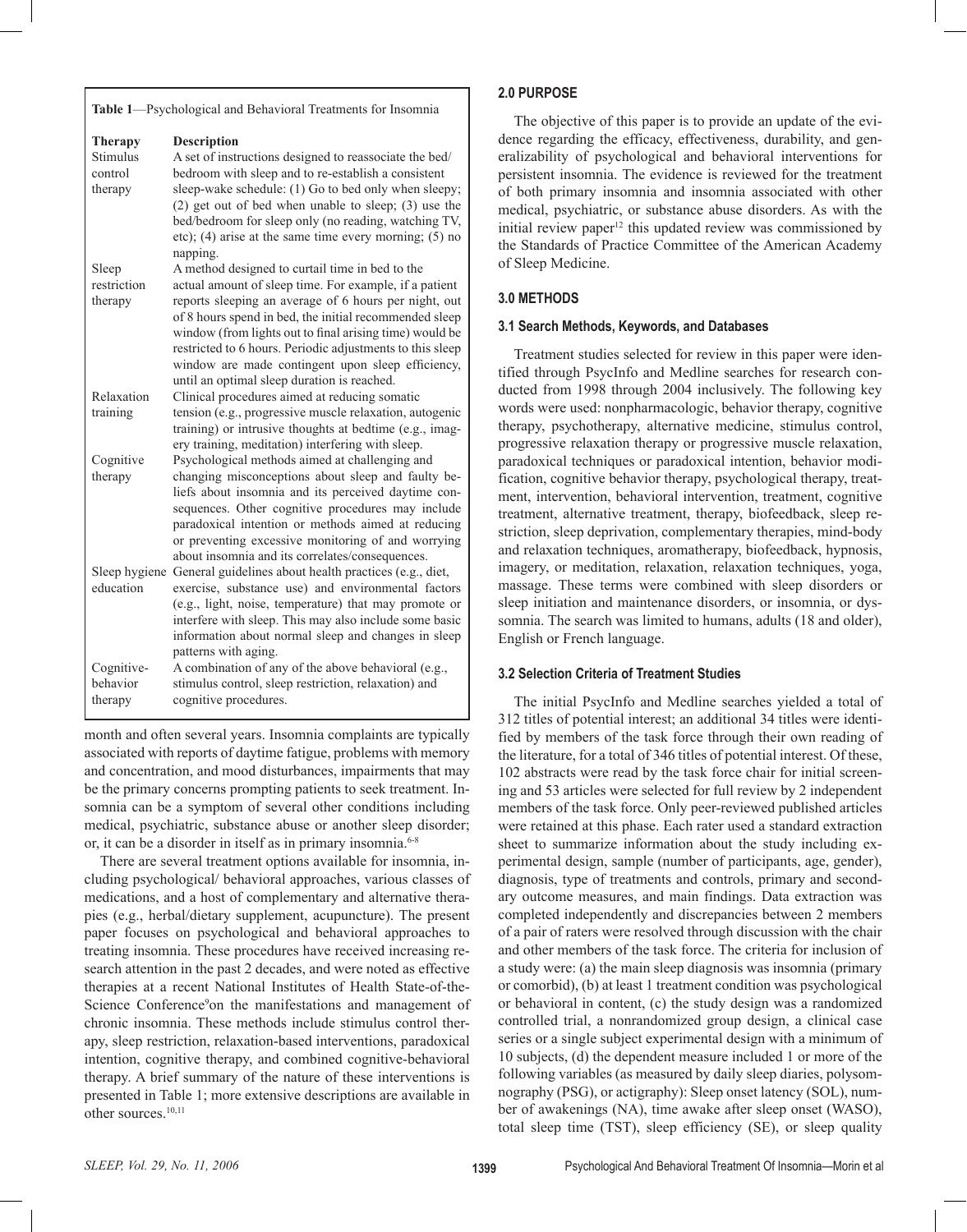**Table 1**—Psychological and Behavioral Treatments for Insomnia

| <b>Therapy</b> | <b>Description</b>                                         |
|----------------|------------------------------------------------------------|
| Stimulus       | A set of instructions designed to reassociate the bed/     |
| control        | bedroom with sleep and to re-establish a consistent        |
| therapy        | sleep-wake schedule: (1) Go to bed only when sleepy;       |
|                | $(2)$ get out of bed when unable to sleep; $(3)$ use the   |
|                | bed/bedroom for sleep only (no reading, watching TV,       |
|                | etc); $(4)$ arise at the same time every morning; $(5)$ no |
|                | napping.                                                   |
| Sleep          | A method designed to curtail time in bed to the            |
| restriction    | actual amount of sleep time. For example, if a patient     |
| therapy        | reports sleeping an average of 6 hours per night, out      |
|                | of 8 hours spend in bed, the initial recommended sleep     |
|                | window (from lights out to final arising time) would be    |
|                | restricted to 6 hours. Periodic adjustments to this sleep  |
|                | window are made contingent upon sleep efficiency,          |
|                | until an optimal sleep duration is reached.                |
| Relaxation     | Clinical procedures aimed at reducing somatic              |
| training       | tension (e.g., progressive muscle relaxation, autogenic    |
|                | training) or intrusive thoughts at bedtime (e.g., imag-    |
|                | ery training, meditation) interfering with sleep.          |
| Cognitive      | Psychological methods aimed at challenging and             |
| therapy        | changing misconceptions about sleep and faulty be-         |
|                | liefs about insomnia and its perceived daytime con-        |
|                | sequences. Other cognitive procedures may include          |
|                | paradoxical intention or methods aimed at reducing         |
|                | or preventing excessive monitoring of and worrying         |
|                | about insomnia and its correlates/consequences.            |
| Sleep hygiene  | General guidelines about health practices (e.g., diet,     |
| education      | exercise, substance use) and environmental factors         |
|                | (e.g., light, noise, temperature) that may promote or      |
|                | interfere with sleep. This may also include some basic     |
|                | information about normal sleep and changes in sleep        |
|                | patterns with aging.                                       |
| Cognitive-     | A combination of any of the above behavioral (e.g.,        |
| behavior       | stimulus control, sleep restriction, relaxation) and       |
| therapy        | cognitive procedures.                                      |

month and often several years. Insomnia complaints are typically associated with reports of daytime fatigue, problems with memory and concentration, and mood disturbances, impairments that may be the primary concerns prompting patients to seek treatment. Insomnia can be a symptom of several other conditions including medical, psychiatric, substance abuse or another sleep disorder; or, it can be a disorder in itself as in primary insomnia.<sup>6-8</sup>

 There are several treatment options available for insomnia, including psychological/ behavioral approaches, various classes of medications, and a host of complementary and alternative therapies (e.g., herbal/dietary supplement, acupuncture). The present paper focuses on psychological and behavioral approaches to treating insomnia. These procedures have received increasing research attention in the past 2 decades, and were noted as effective therapies at a recent National Institutes of Health State-of-the-Science Conference<sup>9</sup>on the manifestations and management of chronic insomnia. These methods include stimulus control therapy, sleep restriction, relaxation-based interventions, paradoxical intention, cognitive therapy, and combined cognitive-behavioral therapy. A brief summary of the nature of these interventions is presented in Table 1; more extensive descriptions are available in other sources.<sup>10,11</sup>

### **2.0 PURPOSE**

 The objective of this paper is to provide an update of the evidence regarding the efficacy, effectiveness, durability, and generalizability of psychological and behavioral interventions for persistent insomnia. The evidence is reviewed for the treatment of both primary insomnia and insomnia associated with other medical, psychiatric, or substance abuse disorders. As with the initial review paper $12$  this updated review was commissioned by the Standards of Practice Committee of the American Academy of Sleep Medicine.

## **3.0 METHODS**

### **3.1 Search Methods, Keywords, and Databases**

 Treatment studies selected for review in this paper were identified through PsycInfo and Medline searches for research conducted from 1998 through 2004 inclusively. The following key words were used: nonpharmacologic, behavior therapy, cognitive therapy, psychotherapy, alternative medicine, stimulus control, progressive relaxation therapy or progressive muscle relaxation, paradoxical techniques or paradoxical intention, behavior modification, cognitive behavior therapy, psychological therapy, treatment, intervention, behavioral intervention, treatment, cognitive treatment, alternative treatment, therapy, biofeedback, sleep restriction, sleep deprivation, complementary therapies, mind-body and relaxation techniques, aromatherapy, biofeedback, hypnosis, imagery, or meditation, relaxation, relaxation techniques, yoga, massage. These terms were combined with sleep disorders or sleep initiation and maintenance disorders, or insomnia, or dyssomnia. The search was limited to humans, adults (18 and older), English or French language.

## **3.2 Selection Criteria of Treatment Studies**

 The initial PsycInfo and Medline searches yielded a total of 312 titles of potential interest; an additional 34 titles were identified by members of the task force through their own reading of the literature, for a total of 346 titles of potential interest. Of these, 102 abstracts were read by the task force chair for initial screening and 53 articles were selected for full review by 2 independent members of the task force. Only peer-reviewed published articles were retained at this phase. Each rater used a standard extraction sheet to summarize information about the study including experimental design, sample (number of participants, age, gender), diagnosis, type of treatments and controls, primary and secondary outcome measures, and main findings. Data extraction was completed independently and discrepancies between 2 members of a pair of raters were resolved through discussion with the chair and other members of the task force. The criteria for inclusion of a study were: (a) the main sleep diagnosis was insomnia (primary or comorbid), (b) at least 1 treatment condition was psychological or behavioral in content, (c) the study design was a randomized controlled trial, a nonrandomized group design, a clinical case series or a single subject experimental design with a minimum of 10 subjects, (d) the dependent measure included 1 or more of the following variables (as measured by daily sleep diaries, polysomnography (PSG), or actigraphy): Sleep onset latency (SOL), number of awakenings (NA), time awake after sleep onset (WASO), total sleep time (TST), sleep efficiency (SE), or sleep quality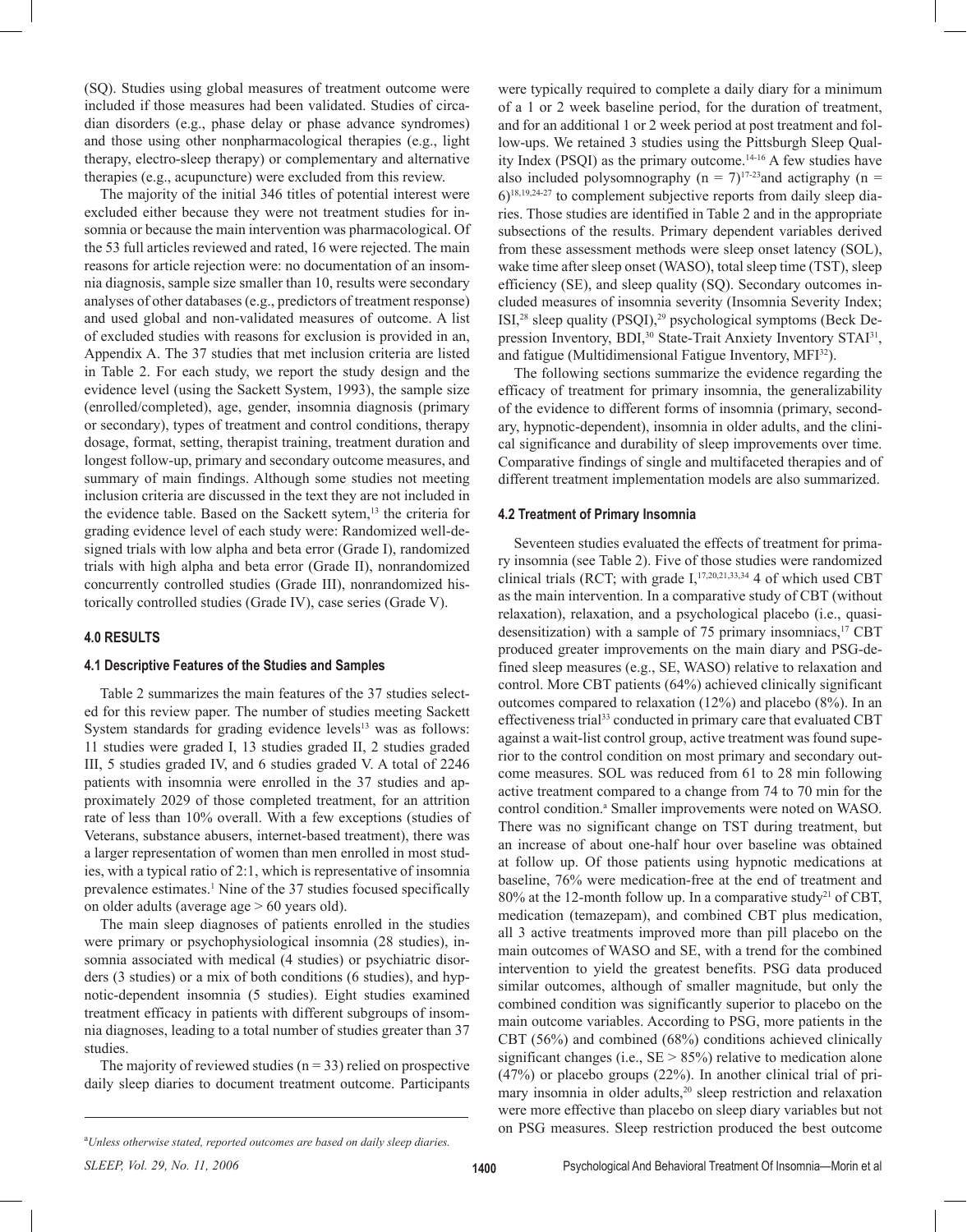(SQ). Studies using global measures of treatment outcome were included if those measures had been validated. Studies of circadian disorders (e.g., phase delay or phase advance syndromes) and those using other nonpharmacological therapies (e.g., light therapy, electro-sleep therapy) or complementary and alternative therapies (e.g., acupuncture) were excluded from this review.

 The majority of the initial 346 titles of potential interest were excluded either because they were not treatment studies for insomnia or because the main intervention was pharmacological. Of the 53 full articles reviewed and rated, 16 were rejected. The main reasons for article rejection were: no documentation of an insomnia diagnosis, sample size smaller than 10, results were secondary analyses of other databases (e.g., predictors of treatment response) and used global and non-validated measures of outcome. A list of excluded studies with reasons for exclusion is provided in an, Appendix A. The 37 studies that met inclusion criteria are listed in Table 2. For each study, we report the study design and the evidence level (using the Sackett System, 1993), the sample size (enrolled/completed), age, gender, insomnia diagnosis (primary or secondary), types of treatment and control conditions, therapy dosage, format, setting, therapist training, treatment duration and longest follow-up, primary and secondary outcome measures, and summary of main findings. Although some studies not meeting inclusion criteria are discussed in the text they are not included in the evidence table. Based on the Sackett sytem,<sup>13</sup> the criteria for grading evidence level of each study were: Randomized well-designed trials with low alpha and beta error (Grade I), randomized trials with high alpha and beta error (Grade II), nonrandomized concurrently controlled studies (Grade III), nonrandomized historically controlled studies (Grade IV), case series (Grade V).

## **4.0 RESULTS**

#### **4.1 Descriptive Features of the Studies and Samples**

 Table 2 summarizes the main features of the 37 studies selected for this review paper. The number of studies meeting Sackett System standards for grading evidence levels $13$  was as follows: 11 studies were graded I, 13 studies graded II, 2 studies graded III, 5 studies graded IV, and 6 studies graded V. A total of 2246 patients with insomnia were enrolled in the 37 studies and approximately 2029 of those completed treatment, for an attrition rate of less than 10% overall. With a few exceptions (studies of Veterans, substance abusers, internet-based treatment), there was a larger representation of women than men enrolled in most studies, with a typical ratio of 2:1, which is representative of insomnia prevalence estimates.<sup>1</sup> Nine of the 37 studies focused specifically on older adults (average age > 60 years old).

 The main sleep diagnoses of patients enrolled in the studies were primary or psychophysiological insomnia (28 studies), insomnia associated with medical (4 studies) or psychiatric disorders (3 studies) or a mix of both conditions (6 studies), and hypnotic-dependent insomnia (5 studies). Eight studies examined treatment efficacy in patients with different subgroups of insomnia diagnoses, leading to a total number of studies greater than 37 studies.

The majority of reviewed studies ( $n = 33$ ) relied on prospective daily sleep diaries to document treatment outcome. Participants were typically required to complete a daily diary for a minimum of a 1 or 2 week baseline period, for the duration of treatment, and for an additional 1 or 2 week period at post treatment and follow-ups. We retained 3 studies using the Pittsburgh Sleep Quality Index (PSQI) as the primary outcome.14-16 A few studies have also included polysomnography ( $n = 7$ )<sup>17-23</sup> and actigraphy ( $n =$  $6$ <sup>18,19,24-27</sup> to complement subjective reports from daily sleep diaries. Those studies are identified in Table 2 and in the appropriate subsections of the results. Primary dependent variables derived from these assessment methods were sleep onset latency (SOL), wake time after sleep onset (WASO), total sleep time (TST), sleep efficiency (SE), and sleep quality (SQ). Secondary outcomes included measures of insomnia severity (Insomnia Severity Index; ISI,<sup>28</sup> sleep quality (PSQI),<sup>29</sup> psychological symptoms (Beck Depression Inventory, BDI,<sup>30</sup> State-Trait Anxiety Inventory STAI<sup>31</sup>, and fatigue (Multidimensional Fatigue Inventory, MFI<sup>32</sup>).

 The following sections summarize the evidence regarding the efficacy of treatment for primary insomnia, the generalizability of the evidence to different forms of insomnia (primary, secondary, hypnotic-dependent), insomnia in older adults, and the clinical significance and durability of sleep improvements over time. Comparative findings of single and multifaceted therapies and of different treatment implementation models are also summarized.

#### **4.2 Treatment of Primary Insomnia**

 Seventeen studies evaluated the effects of treatment for primary insomnia (see Table 2). Five of those studies were randomized clinical trials (RCT; with grade  $I$ ,  $17,20,21,33,34$  4 of which used CBT as the main intervention. In a comparative study of CBT (without relaxation), relaxation, and a psychological placebo (i.e., quasidesensitization) with a sample of 75 primary insomniacs, $^{17}$  CBT produced greater improvements on the main diary and PSG-defined sleep measures (e.g., SE, WASO) relative to relaxation and control. More CBT patients (64%) achieved clinically significant outcomes compared to relaxation (12%) and placebo (8%). In an effectiveness trial<sup>33</sup> conducted in primary care that evaluated CBT against a wait-list control group, active treatment was found superior to the control condition on most primary and secondary outcome measures. SOL was reduced from 61 to 28 min following active treatment compared to a change from 74 to 70 min for the control condition.<sup>a</sup> Smaller improvements were noted on WASO. There was no significant change on TST during treatment, but an increase of about one-half hour over baseline was obtained at follow up. Of those patients using hypnotic medications at baseline, 76% were medication-free at the end of treatment and 80% at the 12-month follow up. In a comparative study<sup>21</sup> of CBT, medication (temazepam), and combined CBT plus medication, all 3 active treatments improved more than pill placebo on the main outcomes of WASO and SE, with a trend for the combined intervention to yield the greatest benefits. PSG data produced similar outcomes, although of smaller magnitude, but only the combined condition was significantly superior to placebo on the main outcome variables. According to PSG, more patients in the CBT (56%) and combined (68%) conditions achieved clinically significant changes (i.e.,  $SE > 85\%$ ) relative to medication alone (47%) or placebo groups (22%). In another clinical trial of primary insomnia in older adults,<sup>20</sup> sleep restriction and relaxation were more effective than placebo on sleep diary variables but not on PSG measures. Sleep restriction produced the best outcome

*Unless otherwise stated, reported outcomes are based on daily sleep diaries.*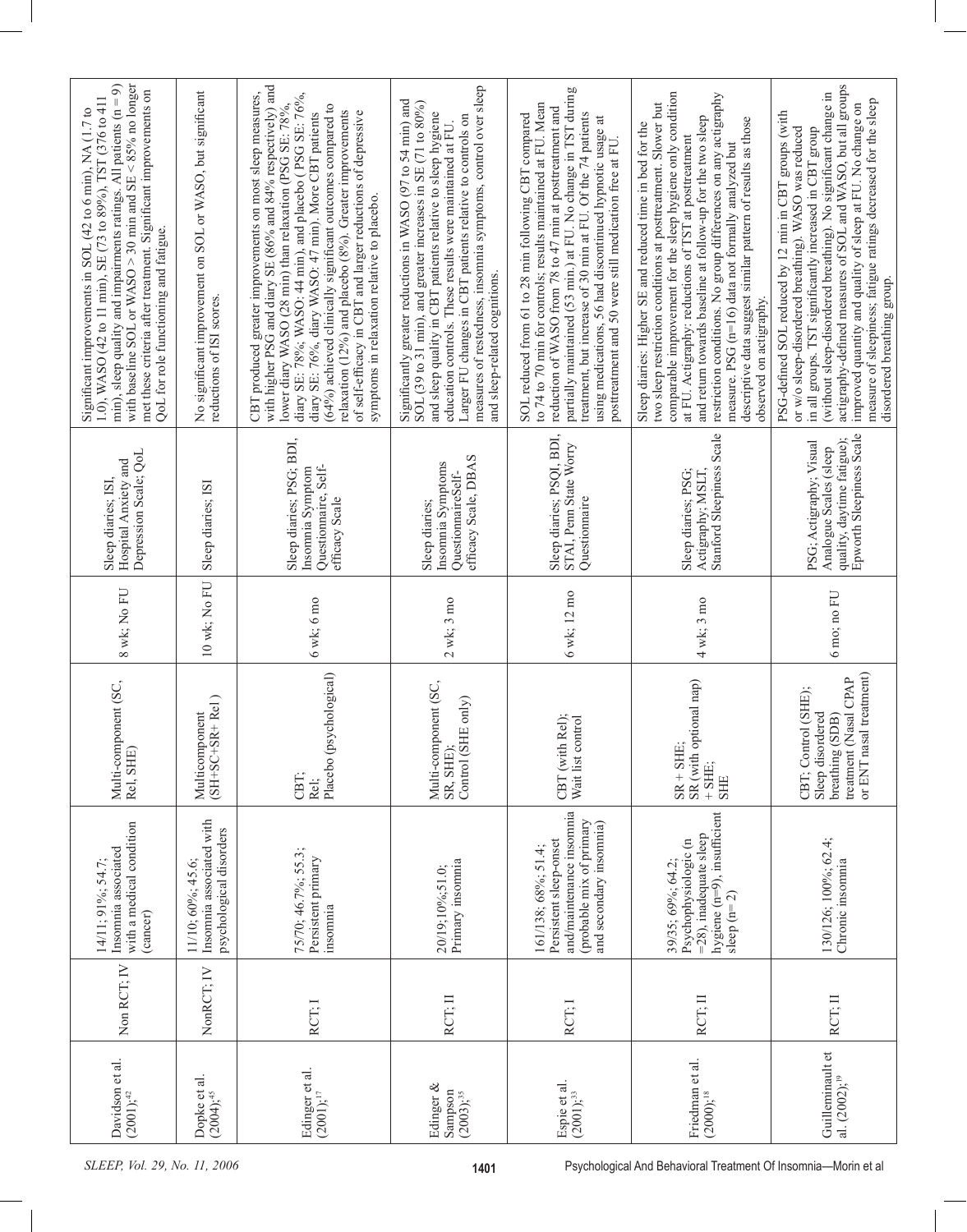| with baseline SOL or WASO > 30 min and SE <85% no longer<br>min), sleep quality and impairments ratings. All patients $(n = 9)$<br>met these criteria after treatment. Significant improvements on<br>1.0), WASO (42 to 11 min), SE (73 to 89%), TST (376 to 411<br>Significant improvements in SOL (42 to 6 min), NA (1.7 to<br>QoL for role functioning and fatigue. | No significant improvement on SOL or WASO, but significant<br>reductions of ISI scores. | CBT produced greater improvements on most sleep measures, with higher PSG and diary SE $(86%$ and $84%$ respectively) and<br>diary SE: 78%; WASO: 44 min), and placebo (PSG SE: 76%,<br>diary SE: 76%, diary WASO: 47 min). More CBT patients<br>lower diary WASO (28 min) than relaxation (PSG SE: 78%,<br>(64%) achieved clinically significant outcomes compared to<br>relaxation (12%) and placebo (8%). Greater improvements<br>of self-efficacy in CBT and larger reductions of depressive<br>symptoms in relaxation relative to placebo. | measures of restedness, insomnia symptoms, control over sleep<br>Significantly greater reductions in WASO (97 to 54 min) and SOL (39 to 31 min), and greater increases in SE (71 to 80%)<br>and sleep quality in CBT patients relative to sleep hygiene<br>Larger FU changes in CBT patients relative to controls on<br>education controls. These results were maintained at FU.<br>and sleep-related cognitions. | partially maintained (53 min.) at FU. No change in TST during<br>to 74 to 70 min for controls; results maintained at FU. Mean<br>reduction of WASO from 78 to 47 min at posttreatment and<br>treatment, but increase of 30 min at FU. Of the 74 patients<br>SOL reduced from 61 to 28 min following CBT compared<br>using medications, 56 had discontinued hypnotic usage at<br>posttreatment and 50 were still medication free at FU. | comparable improvement for the sleep hygiene only condition<br>restriction conditions. No group differences on any actigraphy<br>two sleep restriction conditions at posttreatment. Slower but<br>and return towards baseline at follow-up for the two sleep<br>descriptive data suggest similar pattern of results as those<br>Sleep diaries: Higher SE and reduced time in bed for the<br>at FU. Actigraphy: reductions of TST at posttreatment<br>measure. PSG (n=16) data not formally analyzed but<br>observed on actigraphy. | (without sleep-disordered breathing). No significant change in<br>actigraphy-defined measures of SOL and WASO, but all groups<br>measure of sleepiness; fatigue ratings decreased for the sleep<br>improved quantity and quality of sleep at FU. No change on<br>PSG-defined SOL reduced by 12 min in CBT groups (with<br>or w/o sleep-disordered breathing). WASO was reduced<br>in all groups. TST significantly increased in CBT group<br>disordered breathing group. |
|------------------------------------------------------------------------------------------------------------------------------------------------------------------------------------------------------------------------------------------------------------------------------------------------------------------------------------------------------------------------|-----------------------------------------------------------------------------------------|-------------------------------------------------------------------------------------------------------------------------------------------------------------------------------------------------------------------------------------------------------------------------------------------------------------------------------------------------------------------------------------------------------------------------------------------------------------------------------------------------------------------------------------------------|-------------------------------------------------------------------------------------------------------------------------------------------------------------------------------------------------------------------------------------------------------------------------------------------------------------------------------------------------------------------------------------------------------------------|----------------------------------------------------------------------------------------------------------------------------------------------------------------------------------------------------------------------------------------------------------------------------------------------------------------------------------------------------------------------------------------------------------------------------------------|------------------------------------------------------------------------------------------------------------------------------------------------------------------------------------------------------------------------------------------------------------------------------------------------------------------------------------------------------------------------------------------------------------------------------------------------------------------------------------------------------------------------------------|--------------------------------------------------------------------------------------------------------------------------------------------------------------------------------------------------------------------------------------------------------------------------------------------------------------------------------------------------------------------------------------------------------------------------------------------------------------------------|
| Depression Scale; QoL<br>Hospital Anxiety and<br>Sleep diaries; ISI,                                                                                                                                                                                                                                                                                                   | Sleep diaries; ISI                                                                      | Sleep diaries; PSG; BDI,<br>Questionnaire, Self-<br>Insomnia Symptom<br>efficacy Scale                                                                                                                                                                                                                                                                                                                                                                                                                                                          | efficacy Scale, DBAS<br>Insonnia Symptoms<br>QuestionnaireSelf-<br>Sleep diaries;                                                                                                                                                                                                                                                                                                                                 | Sleep diaries; PSQI, BDI,<br>STAI, Penn State Worry<br>Questionnaire                                                                                                                                                                                                                                                                                                                                                                   | Actigraphy; MSLT,<br>Stanford Sleepiness Scale<br>Sleep diaries; PSG;                                                                                                                                                                                                                                                                                                                                                                                                                                                              | Epworth Sleepiness Scale<br>quality, daytime fatigue);<br>PSG; Actigraphy; Visual<br>Analogue Scales (sleep                                                                                                                                                                                                                                                                                                                                                              |
| 8 wk; No FU                                                                                                                                                                                                                                                                                                                                                            | 10 wk; No FU                                                                            | 6 wk; 6 mo                                                                                                                                                                                                                                                                                                                                                                                                                                                                                                                                      | $2$ wk; $3$ mo                                                                                                                                                                                                                                                                                                                                                                                                    | 6 wk; 12 mo                                                                                                                                                                                                                                                                                                                                                                                                                            | 4 wk; 3 mo                                                                                                                                                                                                                                                                                                                                                                                                                                                                                                                         | $6 \text{ mo}$ ; no $\text{FU}$                                                                                                                                                                                                                                                                                                                                                                                                                                          |
| Multi-component (SC,<br>Rel, SHE)                                                                                                                                                                                                                                                                                                                                      | $(SH+SC+SR+Rel)$<br>Multicomponent                                                      | Placebo (psychological)<br>CBT:<br>Rel;                                                                                                                                                                                                                                                                                                                                                                                                                                                                                                         | Multi-component (SC,<br>$E$ only)<br>Control (SF<br>SR, SHE);                                                                                                                                                                                                                                                                                                                                                     | CBT (with Rel);<br>Wait list control                                                                                                                                                                                                                                                                                                                                                                                                   | SR (with optional nap)<br>$SR + SHE;$<br>$+$ SHE;<br><b>SHE</b>                                                                                                                                                                                                                                                                                                                                                                                                                                                                    | or ENT nasal treatment)<br>treatment (Nasal CPAP<br>CBT; Control (SHE);<br>Sleep disordered<br>breathing (SDB)                                                                                                                                                                                                                                                                                                                                                           |
| with a medical condition<br>Insomnia associated<br>$14/11:91\%$ ; 54.7<br>(cancer)                                                                                                                                                                                                                                                                                     | Insomnia associated with<br>psychological disorders<br>11/10; 60%; 45.6;                | 75/70; 46.7%; 55.3;<br>Persistent primary<br>insomnia                                                                                                                                                                                                                                                                                                                                                                                                                                                                                           | Primary insomnia<br>20/19;10%;51.0;                                                                                                                                                                                                                                                                                                                                                                               | and/maintenance insomnia<br>(probable mix of primary<br>and secondary insomnia)<br>Persistent sleep-onset<br>161/138; 68%; 51.4;                                                                                                                                                                                                                                                                                                       | hygiene (n=9), insufficient<br>=28), inadequate sleep<br>Psychophysiologic (n<br>39/35; 69%; 64.2;<br>sleep $(n=2)$                                                                                                                                                                                                                                                                                                                                                                                                                | 130/126; 100%; 62.4;<br>Chronic insomnia                                                                                                                                                                                                                                                                                                                                                                                                                                 |
| Non RCT; IV                                                                                                                                                                                                                                                                                                                                                            | NonRCT; IV                                                                              | RCT; I                                                                                                                                                                                                                                                                                                                                                                                                                                                                                                                                          | RCT; II                                                                                                                                                                                                                                                                                                                                                                                                           | RCT: I                                                                                                                                                                                                                                                                                                                                                                                                                                 | RCT; II                                                                                                                                                                                                                                                                                                                                                                                                                                                                                                                            | RCT; II                                                                                                                                                                                                                                                                                                                                                                                                                                                                  |
| Davidson et al.<br>$(2001)$ ; <sup>42</sup>                                                                                                                                                                                                                                                                                                                            | Dopke et al.<br>$(2004)$ ; <sup>45</sup>                                                | Edinger et al.<br>$(200\bar{1})$ ; <sup>17</sup>                                                                                                                                                                                                                                                                                                                                                                                                                                                                                                | Edinger &<br>Sampson<br>$(2003),^{35}$                                                                                                                                                                                                                                                                                                                                                                            | Espie et al.<br>$(2001)$ ; <sup>33</sup>                                                                                                                                                                                                                                                                                                                                                                                               | Friedman et al.<br>$(2000)$ ; <sup>18</sup>                                                                                                                                                                                                                                                                                                                                                                                                                                                                                        | Guilleminault et<br>al. (2002); <sup>19</sup>                                                                                                                                                                                                                                                                                                                                                                                                                            |
| SLEEP, Vol. 29, No. 11, 2006                                                                                                                                                                                                                                                                                                                                           |                                                                                         |                                                                                                                                                                                                                                                                                                                                                                                                                                                                                                                                                 | 1401                                                                                                                                                                                                                                                                                                                                                                                                              |                                                                                                                                                                                                                                                                                                                                                                                                                                        | Psychological And Behavioral Treatment Of Insomnia-Morin et al                                                                                                                                                                                                                                                                                                                                                                                                                                                                     |                                                                                                                                                                                                                                                                                                                                                                                                                                                                          |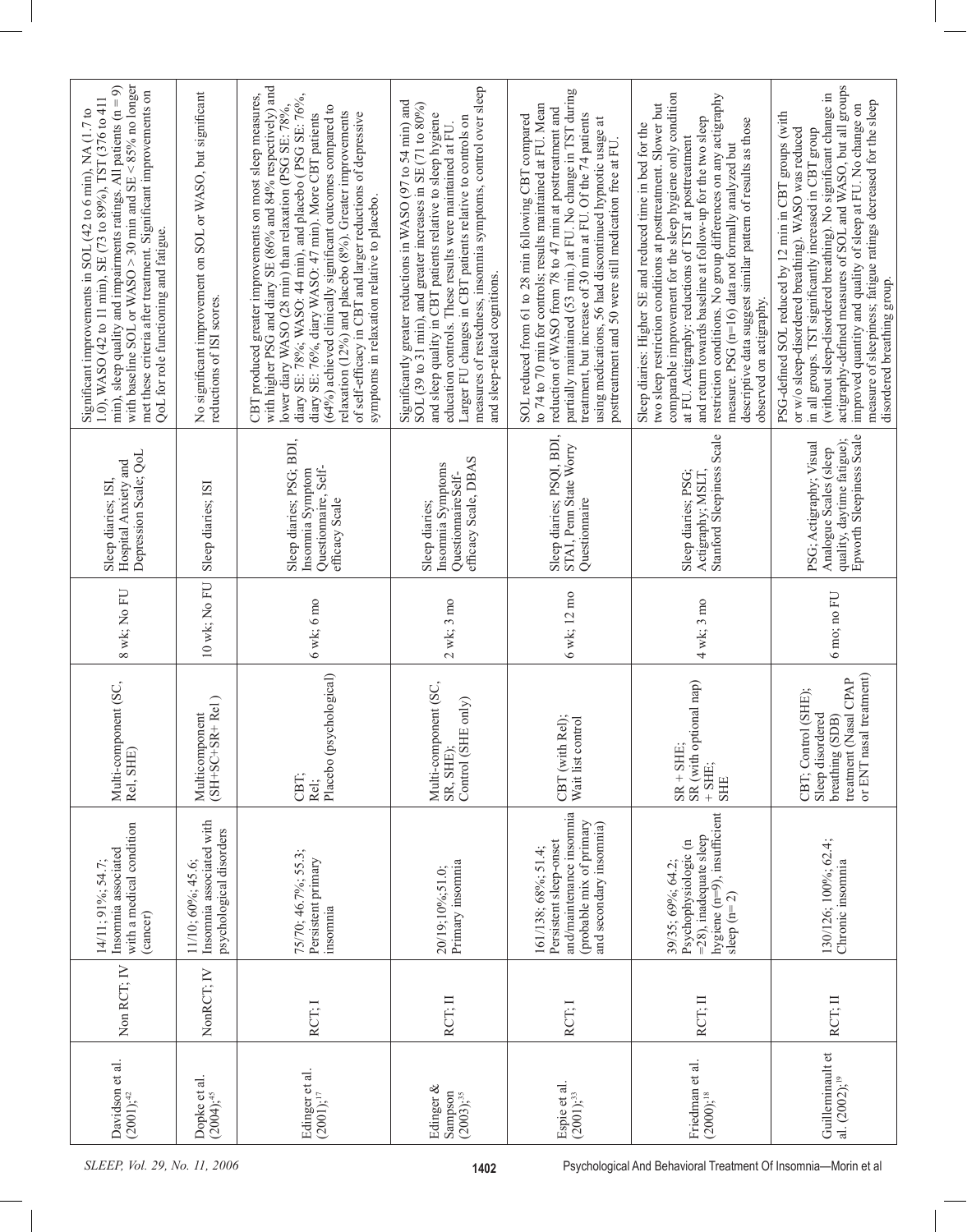| with baseline SOL or WASO > 30 min and SE $\leq$ 85% no longer<br>min), sleep quality and impairments ratings. All patients $(n = 9)$<br>met these criteria after treatment. Significant improvements on<br>1.0), WASO (42 to 11 min), SE (73 to 89%), TST (376 to 411<br>Significant improvements in SOL (42 to 6 min), NA (1.7 to<br>QoL for role functioning and fatigue. | No significant improvement on SOL or WASO, but significant<br>reductions of ISI scores. | with higher PSG and diary SE (86% and 84% respectively) and<br>diary SE: 78%; WASO: 44 min), and placebo (PSG SE: 76%, diary SE: 76%, diary WASO: 47 min). More CBT patients<br>CBT produced greater improvements on most sleep measures,<br>lower diary WASO (28 min) than relaxation (PSG SE: 78%,<br>(64%) achieved clinically significant outcomes compared to<br>relaxation (12%) and placebo (8%). Greater improvements<br>of self-efficacy in CBT and larger reductions of depressive<br>symptoms in relaxation relative to placebo. | measures of restedness, insomnia symptoms, control over sleep<br>Significantly greater reductions in WASO (97 to 54 min) and SOL (39 to 31 min), and greater increases in SE (71 to 80%)<br>and sleep quality in CBT patients relative to sleep hygiene<br>Larger FU changes in CBT patients relative to controls on<br>education controls. These results were maintained at FU.<br>and sleep-related cognitions. | partially maintained (53 min.) at FU. No change in TST during<br>to 74 to 70 min for controls; results maintained at FU. Mean<br>reduction of WASO from 78 to 47 min at posttreatment and<br>treatment, but increase of 30 min at FU. Of the 74 patients<br>SOL reduced from 61 to 28 min following CBT compared<br>using medications, 56 had discontinued hypnotic usage at<br>posttreatment and 50 were still medication free at FU. | comparable improvement for the sleep hygiene only condition<br>restriction conditions. No group differences on any actigraphy<br>two sleep restriction conditions at posttreatment. Slower but<br>and return towards baseline at follow-up for the two sleep<br>descriptive data suggest similar pattern of results as those<br>Sleep diaries: Higher SE and reduced time in bed for the<br>at FU. Actigraphy: reductions of TST at posttreatment<br>measure. PSG (n=16) data not formally analyzed but<br>observed on actigraphy. | (without sleep-disordered breathing). No significant change in<br>actigraphy-defined measures of SOL and WASO, but all groups<br>measure of sleepiness; fatigue ratings decreased for the sleep<br>improved quantity and quality of sleep at FU. No change on<br>PSG-defined SOL reduced by 12 min in CBT groups (with<br>or w/o sleep-disordered breathing). WASO was reduced<br>in all groups. TST significantly increased in CBT group<br>disordered breathing group. |
|------------------------------------------------------------------------------------------------------------------------------------------------------------------------------------------------------------------------------------------------------------------------------------------------------------------------------------------------------------------------------|-----------------------------------------------------------------------------------------|---------------------------------------------------------------------------------------------------------------------------------------------------------------------------------------------------------------------------------------------------------------------------------------------------------------------------------------------------------------------------------------------------------------------------------------------------------------------------------------------------------------------------------------------|-------------------------------------------------------------------------------------------------------------------------------------------------------------------------------------------------------------------------------------------------------------------------------------------------------------------------------------------------------------------------------------------------------------------|----------------------------------------------------------------------------------------------------------------------------------------------------------------------------------------------------------------------------------------------------------------------------------------------------------------------------------------------------------------------------------------------------------------------------------------|------------------------------------------------------------------------------------------------------------------------------------------------------------------------------------------------------------------------------------------------------------------------------------------------------------------------------------------------------------------------------------------------------------------------------------------------------------------------------------------------------------------------------------|--------------------------------------------------------------------------------------------------------------------------------------------------------------------------------------------------------------------------------------------------------------------------------------------------------------------------------------------------------------------------------------------------------------------------------------------------------------------------|
| Depression Scale; QoL<br>Hospital Anxiety and<br>Sleep diaries; ISI,                                                                                                                                                                                                                                                                                                         | Sleep diaries; ISI                                                                      | Sleep diaries; PSG; BDI,<br>Questionnaire, Self-<br>Insomnia Symptom<br>efficacy Scale                                                                                                                                                                                                                                                                                                                                                                                                                                                      | efficacy Scale, DBAS<br>Insomnia Symptoms<br>QuestionnaireSelf-<br>Sleep diaries;                                                                                                                                                                                                                                                                                                                                 | Sleep diaries; PSQI, BDI,<br>STAI, Penn State Worry<br>Questionnaire                                                                                                                                                                                                                                                                                                                                                                   | Stanford Sleepiness Scale<br>Sleep diaries; PSG;<br>Actigraphy; MSLT,                                                                                                                                                                                                                                                                                                                                                                                                                                                              | Epworth Sleepiness Scale<br>quality, daytime fatigue);<br>PSG; Actigraphy; Visual<br>Analogue Scales (sleep                                                                                                                                                                                                                                                                                                                                                              |
| 8 wk; No FU                                                                                                                                                                                                                                                                                                                                                                  | 10 wk; No FU                                                                            | 6 wk; 6 mo                                                                                                                                                                                                                                                                                                                                                                                                                                                                                                                                  | $2$ wk; $3$ mo                                                                                                                                                                                                                                                                                                                                                                                                    | 6 wk; 12 mo                                                                                                                                                                                                                                                                                                                                                                                                                            | 4 wk; 3 mo                                                                                                                                                                                                                                                                                                                                                                                                                                                                                                                         | $6 \text{ mo}$ ; no $\text{FU}$                                                                                                                                                                                                                                                                                                                                                                                                                                          |
| Multi-component (SC,<br>Rel, SHE)                                                                                                                                                                                                                                                                                                                                            | $(SH+SC+SR+Rel)$<br>Multicomponent                                                      | Placebo (psychological)<br>CBT:<br>Rel:                                                                                                                                                                                                                                                                                                                                                                                                                                                                                                     | Multi-component (SC,<br>$E$ only)<br>Control (SF<br>SR, SHE)                                                                                                                                                                                                                                                                                                                                                      | CBT (with Rel);<br>Wait list control                                                                                                                                                                                                                                                                                                                                                                                                   | SR (with optional nap)<br>$SR + SHE$ ;<br>$+$ SHE;<br>SHE                                                                                                                                                                                                                                                                                                                                                                                                                                                                          | or ENT nasal treatment)<br>treatment (Nasal CPAP<br>CBT; Control (SHE);<br>Sleep disordered<br>breathing (SDB)                                                                                                                                                                                                                                                                                                                                                           |
| with a medical condition<br>Insomnia associated<br>14/11: 91%: 54.7<br>(cancer)                                                                                                                                                                                                                                                                                              | Insomnia associated with<br>psychological disorders<br>11/10; 60%; 45.6;                | 75/70; 46.7%; 55.3;<br>Persistent primary<br>insomnia                                                                                                                                                                                                                                                                                                                                                                                                                                                                                       | Primary insomnia<br>20/19;10%;51.0;                                                                                                                                                                                                                                                                                                                                                                               | and/maintenance insomnia<br>(probable mix of primary<br>and secondary insomnia)<br>Persistent sleep-onset<br>161/138; 68%; 51.4;                                                                                                                                                                                                                                                                                                       | hygiene $(n=9)$ , insufficient<br>=28), inadequate sleep<br>Psychophysiologic (n<br>39/35; 69%; 64.2;<br>sleep $(n=2)$                                                                                                                                                                                                                                                                                                                                                                                                             | 130/126; 100%; 62.4;<br>Chronic insomnia                                                                                                                                                                                                                                                                                                                                                                                                                                 |
| Non RCT; IV                                                                                                                                                                                                                                                                                                                                                                  | NonRCT; IV                                                                              | RCT; I                                                                                                                                                                                                                                                                                                                                                                                                                                                                                                                                      | RCT; II                                                                                                                                                                                                                                                                                                                                                                                                           | RCT: I                                                                                                                                                                                                                                                                                                                                                                                                                                 | RCT; II                                                                                                                                                                                                                                                                                                                                                                                                                                                                                                                            | RCT; II                                                                                                                                                                                                                                                                                                                                                                                                                                                                  |
| Davidson et al.<br>$(2001)$ ; <sup>42</sup>                                                                                                                                                                                                                                                                                                                                  | Dopke et al.<br>$(2004)$ ; <sup>45</sup>                                                | Edinger et al.<br>$(200\bar{1})$ ; <sup>17</sup>                                                                                                                                                                                                                                                                                                                                                                                                                                                                                            | Edinger &<br>Sampson<br>$(2003),^{35}$                                                                                                                                                                                                                                                                                                                                                                            | Espie et al.<br>$(2001)$ ; <sup>33</sup>                                                                                                                                                                                                                                                                                                                                                                                               | Friedman et al.<br>$(2000)$ ; <sup>18</sup>                                                                                                                                                                                                                                                                                                                                                                                                                                                                                        | Guilleminault et<br>al. (2002); <sup>19</sup>                                                                                                                                                                                                                                                                                                                                                                                                                            |
| SLEEP, Vol. 29, No. 11, 2006                                                                                                                                                                                                                                                                                                                                                 |                                                                                         |                                                                                                                                                                                                                                                                                                                                                                                                                                                                                                                                             | 1402                                                                                                                                                                                                                                                                                                                                                                                                              |                                                                                                                                                                                                                                                                                                                                                                                                                                        | Psychological And Behavioral Treatment Of Insomnia-Morin et al                                                                                                                                                                                                                                                                                                                                                                                                                                                                     |                                                                                                                                                                                                                                                                                                                                                                                                                                                                          |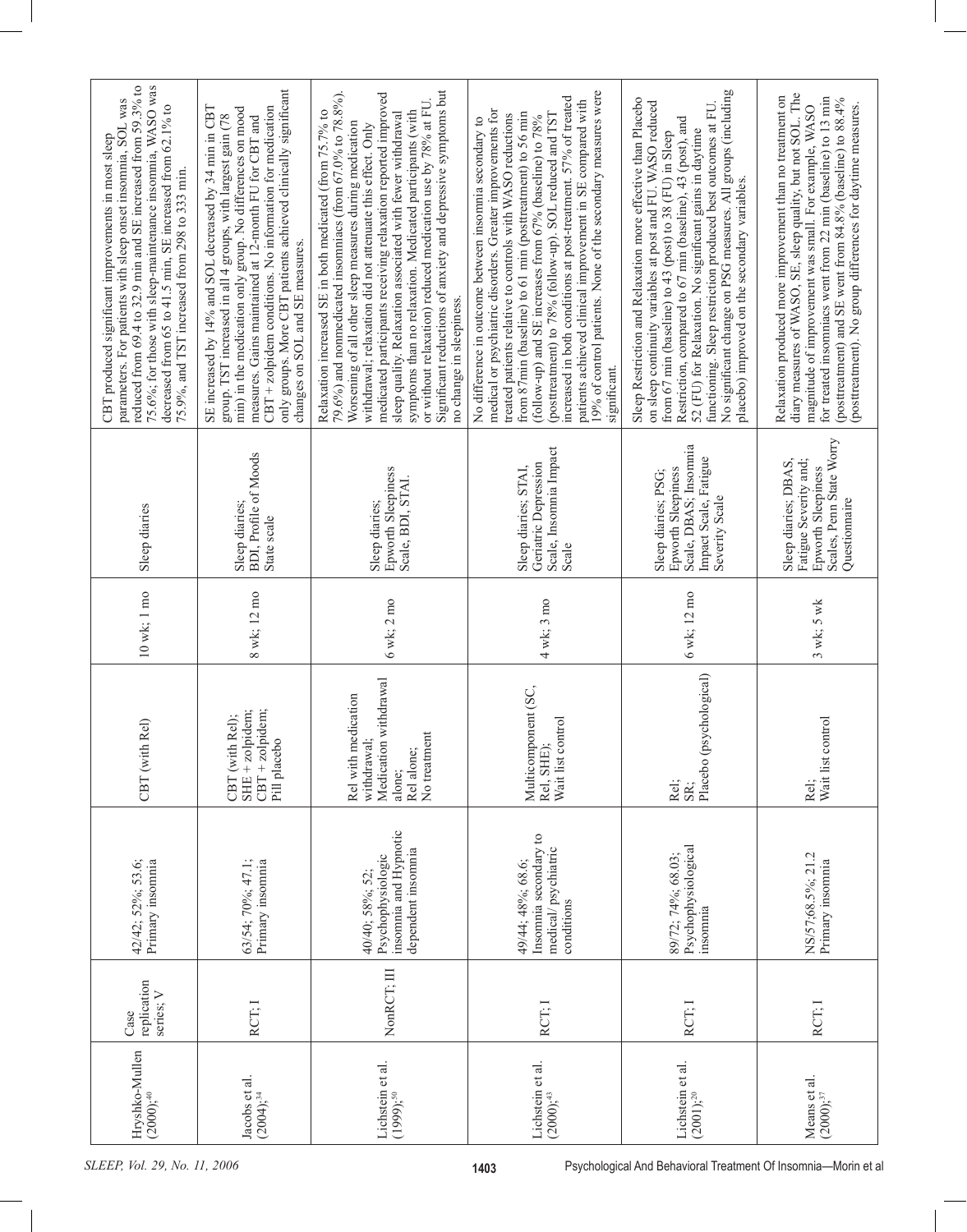| 75.6%; for those with sleep-maintenance insomnia, WASO was<br>reduced from 69.4 to 32.9 min and SE increased from 59.3% to<br>parameters. For patients with sleep onset insomnia, SOL was<br>decreased from 65 to 41.5 min, SE increased from 62.1% to<br>CBT produced significant improvements in most sleep<br>75.9%, and TST increased from 298 to 333 min. | only groups. More CBT patients achieved clinically significant<br>CBT + zolpidem conditions. No information for medication<br>SE increased by 14% and SOL decreased by 34 min in CBT<br>min) in the medication only group. No differences on mood<br>measures. Gains maintained at 12-month FU for CBT and<br>group. TST increased in all 4 groups, with largest gain (78<br>changes on SOL and SE measures. | Significant reductions of anxiety and depressive symptoms but<br>79.6%) and nonmedicated insommiacs (from 67.0% to 78.8%).<br>medicated participants receiving relaxation reported improved<br>or without relaxation) reduced medication use by 78% at FU.<br>Relaxation increased SE in both medicated (from 75.7% to<br>symptoms than no relaxation. Medicated participants (with<br>sleep quality. Relaxation associated with fewer withdrawal<br>Worsening of all other sleep measures during medication<br>withdrawal; relaxation did not attenuate this effect. Only<br>no change in sleepiness. | 19% of control patients. None of the secondary measures were<br>increased in both conditions at post-treatment. 57% of treated<br>patients achieved clinical improvement in SE compared with<br>medical or psychiatric disorders. Greater improvements for<br>(posttreatment) to 78% (follow-up). SOL reduced and TST<br>from 87min (baseline) to 61 min (posttreatment) to 56 min<br>treated patients relative to controls with WASO reductions<br>(follow-up) and SE increases from 67% (baseline) to 78%<br>No difference in outcome between insomnia secondary to<br>significant. | No significant change on PSG measures. All groups (including<br>Sleep Restriction and Relaxation more effective than Placebo<br>on sleep continuity variables at post and FU. WASO reduced<br>functioning. Sleep restriction produced best outcomes at FU.<br>Restriction, compared to 67 min (baseline), 43 (post), and<br>52 (FU) for Relaxation. No significant gains in daytime<br>from 67 min (baseline) to 43 (post) to 38 (FU) in Sleep<br>placebo) improved on the secondary variables. | diary measures of WASO, SE, sleep quality, but not SOL. The<br>Relaxation produced more improvement than no treatment on<br>for treated insomniacs went from 22 min (baseline) to 13 min<br>(posttreatment) and SE went from 84.8% (baseline) to 88.4%<br>(posttreatment). No group differences for daytime measures.<br>magnitude of improvement was small. For example, WASO |
|----------------------------------------------------------------------------------------------------------------------------------------------------------------------------------------------------------------------------------------------------------------------------------------------------------------------------------------------------------------|--------------------------------------------------------------------------------------------------------------------------------------------------------------------------------------------------------------------------------------------------------------------------------------------------------------------------------------------------------------------------------------------------------------|--------------------------------------------------------------------------------------------------------------------------------------------------------------------------------------------------------------------------------------------------------------------------------------------------------------------------------------------------------------------------------------------------------------------------------------------------------------------------------------------------------------------------------------------------------------------------------------------------------|---------------------------------------------------------------------------------------------------------------------------------------------------------------------------------------------------------------------------------------------------------------------------------------------------------------------------------------------------------------------------------------------------------------------------------------------------------------------------------------------------------------------------------------------------------------------------------------|-------------------------------------------------------------------------------------------------------------------------------------------------------------------------------------------------------------------------------------------------------------------------------------------------------------------------------------------------------------------------------------------------------------------------------------------------------------------------------------------------|--------------------------------------------------------------------------------------------------------------------------------------------------------------------------------------------------------------------------------------------------------------------------------------------------------------------------------------------------------------------------------|
| Sleep diaries                                                                                                                                                                                                                                                                                                                                                  | <b>BDI</b> , Profile of Moods<br>Sleep diaries;<br>State scale                                                                                                                                                                                                                                                                                                                                               | Epworth Sleepiness<br>Scale, BDI, STAI.<br>Sleep diaries;                                                                                                                                                                                                                                                                                                                                                                                                                                                                                                                                              | Scale, Insomnia Impact<br>Geriatric Depression<br>Sleep diaries; STAI,<br>Scale                                                                                                                                                                                                                                                                                                                                                                                                                                                                                                       | Scale, DBAS; Insomnia<br>Impact Scale, Fatigue<br><b>Epworth Sleepiness</b><br>Sleep diaries; PSG;<br>Severity Scale                                                                                                                                                                                                                                                                                                                                                                            | Scales, Penn State Worry<br>Sleep diaries; DBAS,<br>Fatigue Severity and;<br>Epworth Sleepiness<br>Questionnaire                                                                                                                                                                                                                                                               |
| $10$ wk; $1$ mo                                                                                                                                                                                                                                                                                                                                                | 8 wk; 12 mo                                                                                                                                                                                                                                                                                                                                                                                                  | $6$ wk; $2$ mo                                                                                                                                                                                                                                                                                                                                                                                                                                                                                                                                                                                         | 4 wk; 3 mo                                                                                                                                                                                                                                                                                                                                                                                                                                                                                                                                                                            | $6$ wk; $12$ mo $\,$                                                                                                                                                                                                                                                                                                                                                                                                                                                                            | $3$ wk; $5$ wk                                                                                                                                                                                                                                                                                                                                                                 |
| Rel)<br>CBT (with                                                                                                                                                                                                                                                                                                                                              | $SHE + zolpidem;$<br>$CBT + z$ olpidem;<br>Rel);<br>Pill placebo<br>CBT (with                                                                                                                                                                                                                                                                                                                                | Medication withdrawal<br>Rel with medication<br>No treatment<br>withdrawal:<br>Rel alone;<br>alone;                                                                                                                                                                                                                                                                                                                                                                                                                                                                                                    | Multicomponent (SC,<br>Wait list control<br>Rel, SHE);                                                                                                                                                                                                                                                                                                                                                                                                                                                                                                                                | Placebo (psychological)<br>Rel;<br>SR:                                                                                                                                                                                                                                                                                                                                                                                                                                                          | Wait list control<br>Rel;                                                                                                                                                                                                                                                                                                                                                      |
| 42/42; 52%; 53.6;<br>Primary insomnia                                                                                                                                                                                                                                                                                                                          | 63/54; 70%; 47.1;<br>Primary insomnia                                                                                                                                                                                                                                                                                                                                                                        | insomnia and Hypnotic<br>dependent insomnia<br>Psychophysiologic<br>40/40; 58%; 52                                                                                                                                                                                                                                                                                                                                                                                                                                                                                                                     | Insomnia secondary to<br>medical/psychiatric<br>49/44; 48%; 68.6;<br>conditions                                                                                                                                                                                                                                                                                                                                                                                                                                                                                                       | Psychophysiological<br>89/72; 74%; 68.03;<br>insomnia                                                                                                                                                                                                                                                                                                                                                                                                                                           | NS/57;68.5%; 21.2<br>Primary insomnia                                                                                                                                                                                                                                                                                                                                          |
| replication<br>series; V<br>Case                                                                                                                                                                                                                                                                                                                               | RCT; I                                                                                                                                                                                                                                                                                                                                                                                                       | NonRCT; III                                                                                                                                                                                                                                                                                                                                                                                                                                                                                                                                                                                            | RCT; I                                                                                                                                                                                                                                                                                                                                                                                                                                                                                                                                                                                | RCT: I                                                                                                                                                                                                                                                                                                                                                                                                                                                                                          | RCT; I                                                                                                                                                                                                                                                                                                                                                                         |
| Hryshko-Mullen<br>Lichstein et al.<br>Jacobs et al.<br>$(2000)$ ; <sup>40</sup><br>$(2004)^{34}$<br>$(1999);^{50}$                                                                                                                                                                                                                                             |                                                                                                                                                                                                                                                                                                                                                                                                              | Lichstein et al.<br>$(2000)$ ; <sup>43</sup>                                                                                                                                                                                                                                                                                                                                                                                                                                                                                                                                                           | Lichstein et al.<br>$(2001)$ ; <sup>20</sup>                                                                                                                                                                                                                                                                                                                                                                                                                                                                                                                                          | Means et al.<br>$(2000);^{37}$                                                                                                                                                                                                                                                                                                                                                                                                                                                                  |                                                                                                                                                                                                                                                                                                                                                                                |
| SLEEP, Vol. 29, No. 11, 2006                                                                                                                                                                                                                                                                                                                                   |                                                                                                                                                                                                                                                                                                                                                                                                              |                                                                                                                                                                                                                                                                                                                                                                                                                                                                                                                                                                                                        | 1403                                                                                                                                                                                                                                                                                                                                                                                                                                                                                                                                                                                  | Psychological And Behavioral Treatment Of Insomnia-Morin et a                                                                                                                                                                                                                                                                                                                                                                                                                                   |                                                                                                                                                                                                                                                                                                                                                                                |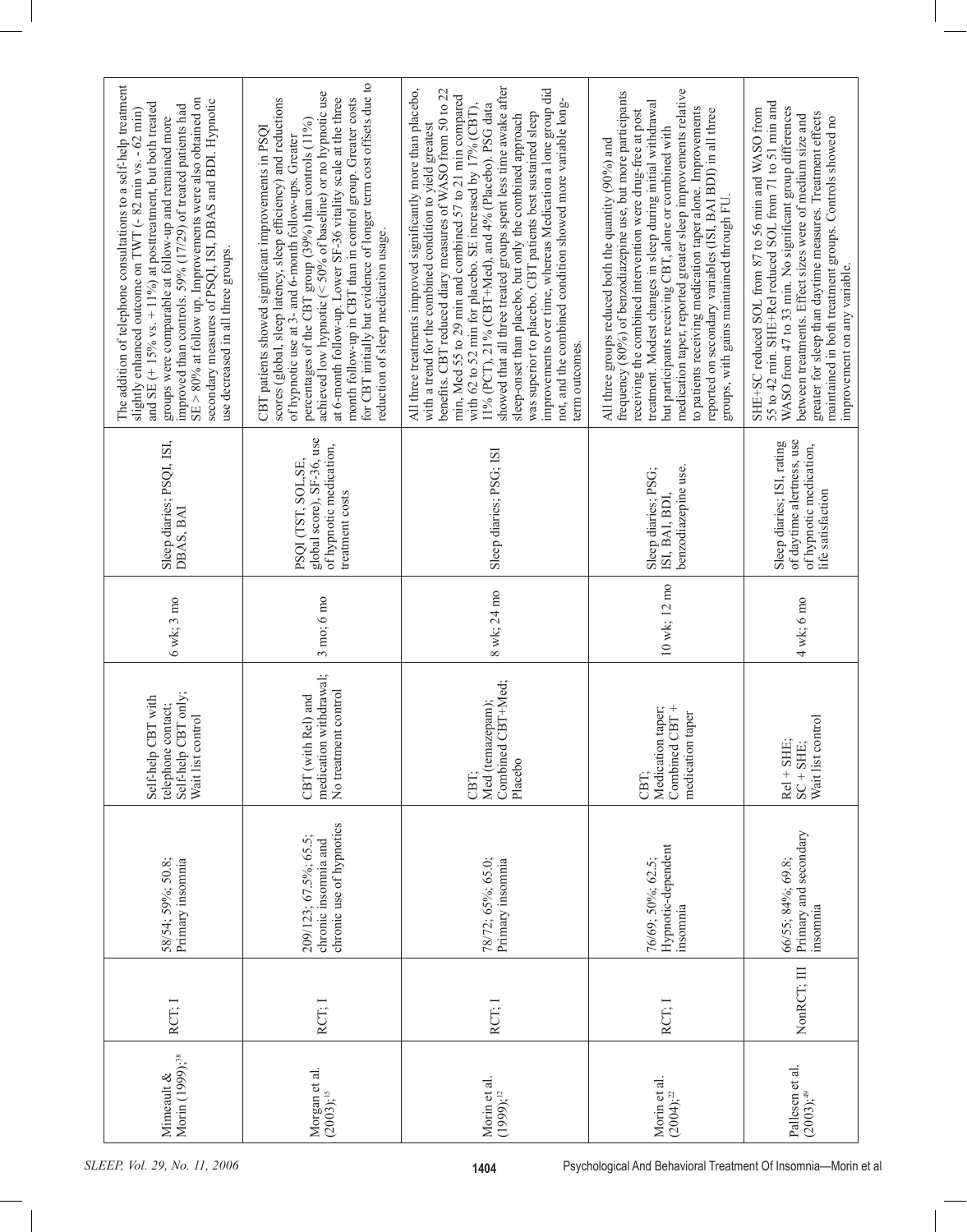| The addition of telephone consultations to a self-help treatment<br>SE > 80% at follow up. Improvements were also obtained on<br>secondary measures of PSQI, ISI, DBAS and BDI. Hypnotic<br>and $SE$ (+15% vs. +11%) at posttreatment, but both treated<br>improved than controls. 59% (17/29) of treated patients had<br>slightly enhanced outcome on TWT (- 82 min vs. - 62 min)<br>groups were comparable at follow-up and remained more<br>use decreased in all three groups. | for CBT initially but evidence of longer term cost offsets due to<br>achieved low hypnotic ( $<$ 50% of baseline) or no hypnotic use<br>month follow-up in CBT than in control group. Greater costs<br>scores (global, sleep latency, sleep efficiency) and reductions<br>at 6-month follow-up. Lower SF-36 vitality scale at the three<br>percentages of the CBT group (39%) than controls (11%)<br>CBT patients showed significant improvements in PSQI<br>of hypnotic use at 3- and 6-month follow-ups. Greater<br>reduction of sleep medication usage. | showed that all three treated groups spent less time awake after<br>All three treatments improved significantly more than placebo,<br>improvements over time, whereas Medication a lone group did<br>benefits. CBT reduced diary measures of WASO from 50 to 22<br>min, Med 55 to 29 min and combined 57 to 21 min compared<br>not, and the combined condition showed more variable long-<br>11% (PCT), 21% (CBT+Med), and 4% (Placebo). PSG data<br>with 62 to 52 min for placebo. SE increased by 17% (CBT),<br>was superior to placebo. CBT patients best sustained sleep<br>sleep-onset than placebo, but only the combined approach<br>with a trend for the combined condition to yield greatest<br>term outcomes. | medication taper, reported greater sleep improvements relative<br>frequency (80%) of benzodiazepine use, but more participants<br>treatment. Modest changes in sleep during initial withdrawal<br>to patients receiving medication taper alone. Improvements<br>reported on secondary variables (ISI, BAI BDI) in all three<br>receiving the combined intervention were drug-free at post<br>but participants receiving CBT, alone or combined with<br>All three groups reduced both the quantity (90%) and<br>groups, with gains maintained through FU. | 55 to 42 min. SHE+Rel reduced SOL from 71 to 51 min and<br>WASO from 47 to 33 min. No significant group differences<br>SHE+SC reduced SOL from 87 to 56 min and WASO from<br>greater for sleep than daytime measures. Treatment effects<br>between treatments. Effect sizes were of medium size and<br>maintained in both treatment groups. Controls showed no<br>improvement on any variable. |
|-----------------------------------------------------------------------------------------------------------------------------------------------------------------------------------------------------------------------------------------------------------------------------------------------------------------------------------------------------------------------------------------------------------------------------------------------------------------------------------|------------------------------------------------------------------------------------------------------------------------------------------------------------------------------------------------------------------------------------------------------------------------------------------------------------------------------------------------------------------------------------------------------------------------------------------------------------------------------------------------------------------------------------------------------------|-------------------------------------------------------------------------------------------------------------------------------------------------------------------------------------------------------------------------------------------------------------------------------------------------------------------------------------------------------------------------------------------------------------------------------------------------------------------------------------------------------------------------------------------------------------------------------------------------------------------------------------------------------------------------------------------------------------------------|----------------------------------------------------------------------------------------------------------------------------------------------------------------------------------------------------------------------------------------------------------------------------------------------------------------------------------------------------------------------------------------------------------------------------------------------------------------------------------------------------------------------------------------------------------|------------------------------------------------------------------------------------------------------------------------------------------------------------------------------------------------------------------------------------------------------------------------------------------------------------------------------------------------------------------------------------------------|
| Sleep diaries; PSQI, ISI,<br>DBÁS, BAI                                                                                                                                                                                                                                                                                                                                                                                                                                            | global score), SF-36, use<br>of hypnotic medication,<br>PSQI (TST, SOL, SE,<br>treatment costs                                                                                                                                                                                                                                                                                                                                                                                                                                                             | Sleep diaries; PSG; ISI                                                                                                                                                                                                                                                                                                                                                                                                                                                                                                                                                                                                                                                                                                 | benzodiazepine use.<br>Sleep diaries; PSG;<br>ISI, BAI, BDI,                                                                                                                                                                                                                                                                                                                                                                                                                                                                                             | of daytime alertness, use<br>Sleep diaries; ISI, rating<br>of hypnotic medication,<br>life satisfaction                                                                                                                                                                                                                                                                                        |
| 6 wk; 3 mo                                                                                                                                                                                                                                                                                                                                                                                                                                                                        | $3 \text{ mo}$ ; $6 \text{ mo}$                                                                                                                                                                                                                                                                                                                                                                                                                                                                                                                            | 8 wk; 24 mo                                                                                                                                                                                                                                                                                                                                                                                                                                                                                                                                                                                                                                                                                                             | 10 wk; 12 mo                                                                                                                                                                                                                                                                                                                                                                                                                                                                                                                                             | $4$ wk; $6$ mo                                                                                                                                                                                                                                                                                                                                                                                 |
| Self-help CBT only;<br>Self-help CBT with<br>telephone contact;<br>Wait list control                                                                                                                                                                                                                                                                                                                                                                                              | medication withdrawal;<br>No treatment control<br>Rel) and<br>CBT (with                                                                                                                                                                                                                                                                                                                                                                                                                                                                                    | Combined CBT+Med;<br>Med (temazepam);<br>Placebo<br>CBT:                                                                                                                                                                                                                                                                                                                                                                                                                                                                                                                                                                                                                                                                | taper;<br>Combined CBT+<br>taper<br>Medication<br>medication<br>CBT:                                                                                                                                                                                                                                                                                                                                                                                                                                                                                     | Wait list control<br>$Rel + SHE;$<br>$SC + SHE;$                                                                                                                                                                                                                                                                                                                                               |
| 58/54; 59%; 50.8;<br>Primary insomnia                                                                                                                                                                                                                                                                                                                                                                                                                                             | chronic use of hypnotics<br>209/123; 67.5%; 65.5;<br>chronic insomnia and                                                                                                                                                                                                                                                                                                                                                                                                                                                                                  | 78/72; 65%; 65.0;<br>Primary insomnia                                                                                                                                                                                                                                                                                                                                                                                                                                                                                                                                                                                                                                                                                   | Hypnotic-dependent<br>76/69; 50%; 62.5;<br>insomnia                                                                                                                                                                                                                                                                                                                                                                                                                                                                                                      | Primary and secondary<br>66/55; 84%; 69.8;<br>insomnia                                                                                                                                                                                                                                                                                                                                         |
| RCT; I                                                                                                                                                                                                                                                                                                                                                                                                                                                                            | RCT: I                                                                                                                                                                                                                                                                                                                                                                                                                                                                                                                                                     | RCT; I                                                                                                                                                                                                                                                                                                                                                                                                                                                                                                                                                                                                                                                                                                                  | RCT; I                                                                                                                                                                                                                                                                                                                                                                                                                                                                                                                                                   | NonRCT; III                                                                                                                                                                                                                                                                                                                                                                                    |
| Morin (1999); <sup>38</sup><br>Mimeault &                                                                                                                                                                                                                                                                                                                                                                                                                                         | Morgan et al.<br>$(2003)^{15}$                                                                                                                                                                                                                                                                                                                                                                                                                                                                                                                             | Morin et al.<br>$(1999)^{12}$                                                                                                                                                                                                                                                                                                                                                                                                                                                                                                                                                                                                                                                                                           | Morin et al.<br>$(2004);^{22}$                                                                                                                                                                                                                                                                                                                                                                                                                                                                                                                           | Pallesen et al.<br>$(2003), ^{49}$                                                                                                                                                                                                                                                                                                                                                             |
| SLEEP, Vol. 29, No. 11, 2006<br>Psychological And Behavioral Treatment Of Insomnia-Morin<br>1404                                                                                                                                                                                                                                                                                                                                                                                  |                                                                                                                                                                                                                                                                                                                                                                                                                                                                                                                                                            |                                                                                                                                                                                                                                                                                                                                                                                                                                                                                                                                                                                                                                                                                                                         |                                                                                                                                                                                                                                                                                                                                                                                                                                                                                                                                                          |                                                                                                                                                                                                                                                                                                                                                                                                |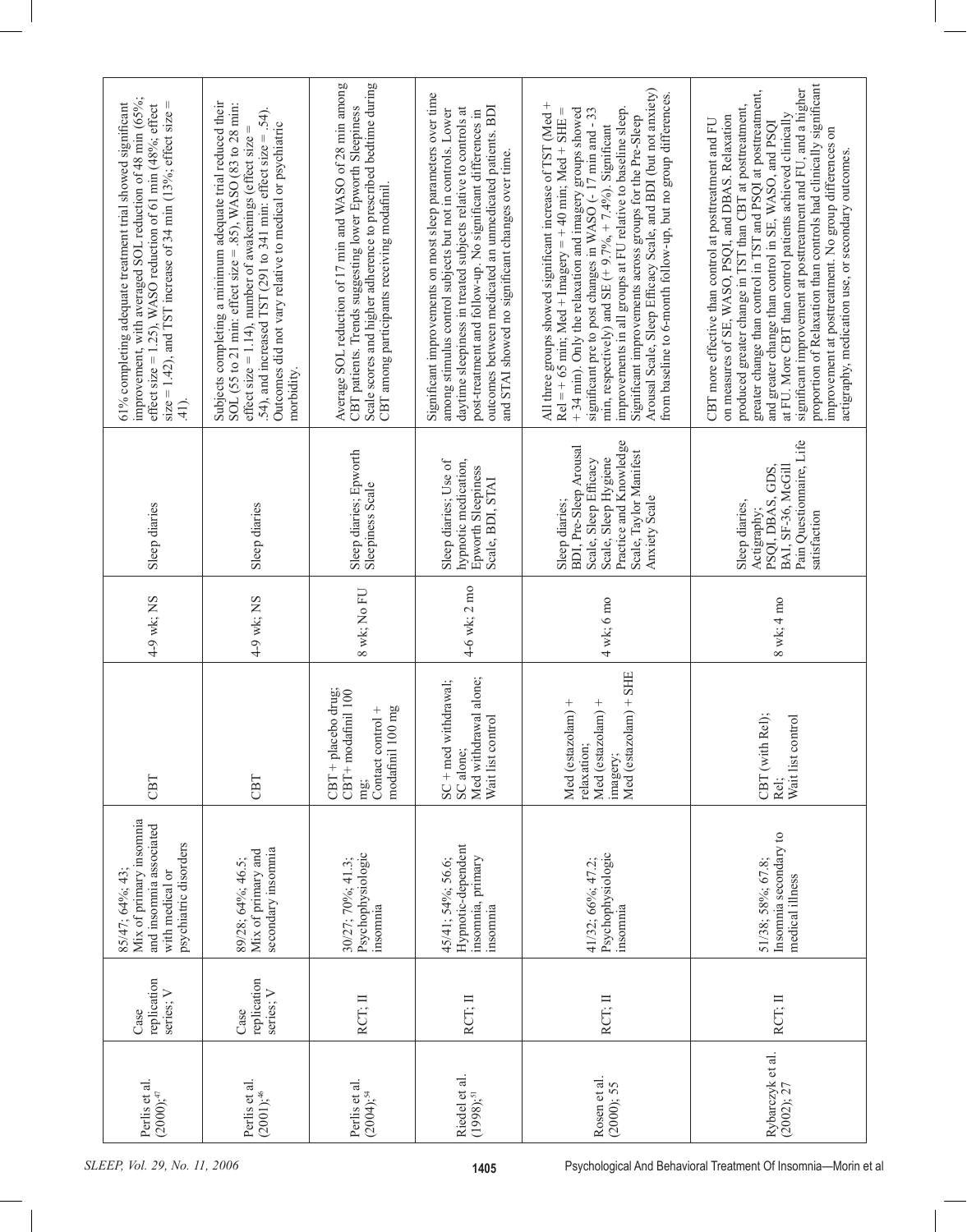|                              | improvement, with averaged SOL reduction of 48 min (65%;<br>size = 1.42), and TST increase of 34 min (13%; effect size =<br>61% completing adequate treatment trial showed significant<br>effect size = $1.25$ ), WASO reduction of 61 min (48%; effect<br>$\frac{41}{2}$ | Subjects completing a minimum adequate trial reduced their<br>SOL (55 to 21 min: effect size = .85), WASO (83 to 28 min:<br>.54), and increased TST (291 to 341 min: effect size = .54).<br>Outcomes did not vary relative to medical or psychiatric<br>effect size = 1.14), number of awakenings (effect size =<br>morbidity. | Scale scores and higher adherence to prescribed bedtime during<br>Average SOL reduction of 17 min and WASO of 28 min among<br>CBT patients. Trends suggesting lower Epworth Sleepiness<br>CBT among participants receiving modafinil. | Significant improvements on most sleep parameters over time<br>outcomes between medicated an unmedicated patients. BDI<br>among stimulus control subjects but not in controls. Lower<br>daytime sleepiness in treated subjects relative to controls at<br>post-treatment and follow-up. No significant differences in<br>and STAI showed no significant changes over time. | Arousal Scale, Sleep Efficacy Scale, and BDI (but not anxiety)<br>from baseline to 6-month follow-up, but no group differences.<br>All three groups showed significant increase of TST (Med +<br>improvements in all groups at FU relative to baseline sleep.<br>Rel = + 65 min; Med + Imagery = + 40 min; Med + SHE =<br>+34 min). Only the relaxation and imagery groups showed<br>significant pre to post changes in WASO (-17 min and - 33<br>Significant improvements across groups for the Pre-Sleep<br>min, respectively) and SE $(+9.7\% + 7.4\%)$ . Significant | proportion of Relaxation than controls had clinically significant<br>significant improvement at posttreatment and FU, and a higher<br>greater change than control in TST and PSQ1 at posttreatment,<br>produced greater change in TST than CBT at posttreatment,<br>at FU. More CBT than control patients achieved clinically<br>on measures of SE, WASO, PSQI, and DBAS. Relaxation<br>CBT more effective than control at posttreatment and FU<br>and greater change than control in SE, WASO, and PSQI<br>improvement at posttreatment. No group differences on<br>actigraphy, medication use, or secondary outcomes. |
|------------------------------|---------------------------------------------------------------------------------------------------------------------------------------------------------------------------------------------------------------------------------------------------------------------------|--------------------------------------------------------------------------------------------------------------------------------------------------------------------------------------------------------------------------------------------------------------------------------------------------------------------------------|---------------------------------------------------------------------------------------------------------------------------------------------------------------------------------------------------------------------------------------|----------------------------------------------------------------------------------------------------------------------------------------------------------------------------------------------------------------------------------------------------------------------------------------------------------------------------------------------------------------------------|--------------------------------------------------------------------------------------------------------------------------------------------------------------------------------------------------------------------------------------------------------------------------------------------------------------------------------------------------------------------------------------------------------------------------------------------------------------------------------------------------------------------------------------------------------------------------|-------------------------------------------------------------------------------------------------------------------------------------------------------------------------------------------------------------------------------------------------------------------------------------------------------------------------------------------------------------------------------------------------------------------------------------------------------------------------------------------------------------------------------------------------------------------------------------------------------------------------|
|                              |                                                                                                                                                                                                                                                                           |                                                                                                                                                                                                                                                                                                                                |                                                                                                                                                                                                                                       |                                                                                                                                                                                                                                                                                                                                                                            |                                                                                                                                                                                                                                                                                                                                                                                                                                                                                                                                                                          |                                                                                                                                                                                                                                                                                                                                                                                                                                                                                                                                                                                                                         |
|                              | Sleep diaries                                                                                                                                                                                                                                                             | Sleep diaries                                                                                                                                                                                                                                                                                                                  | Sleep diaries; Epworth<br>Sleepiness Scale                                                                                                                                                                                            | Sleep diaries; Use of<br>hypnotic medication,<br>Epworth Sleepiness<br>Scale, BDI, STAI                                                                                                                                                                                                                                                                                    | Practice and Knowledge<br>BDI, Pre-Sleep Arousal<br>Scale, Taylor Manifest<br>Scale, Sleep Hygiene<br>Scale, Sleep Efficacy<br>Anxiety Scale<br>Sleep diaries;                                                                                                                                                                                                                                                                                                                                                                                                           | Pain Questionnaire, Life<br>PSQI, DBAS, GDS,<br>BAI, SF-36, McGill<br>Sleep diaries,<br>Actigraphy;<br>satisfaction                                                                                                                                                                                                                                                                                                                                                                                                                                                                                                     |
|                              | 4-9 wk; NS                                                                                                                                                                                                                                                                | 4-9 wk; NS                                                                                                                                                                                                                                                                                                                     | 8 wk; No FU                                                                                                                                                                                                                           | 4-6 wk; 2 mo                                                                                                                                                                                                                                                                                                                                                               | $4$ wk; $6$ mo                                                                                                                                                                                                                                                                                                                                                                                                                                                                                                                                                           | $8$ wk; $4$ mo                                                                                                                                                                                                                                                                                                                                                                                                                                                                                                                                                                                                          |
|                              | CBT                                                                                                                                                                                                                                                                       | CBT                                                                                                                                                                                                                                                                                                                            | CBT + placebo drug;<br>CBT+modafinil 100<br>modafinil 100 mg<br>Contact control +<br>mg                                                                                                                                               | Med withdrawal alone;<br>withdrawal;<br>Wait list control<br>$SC + med$<br>SC alone;                                                                                                                                                                                                                                                                                       | Med (estazolam) + SHE<br>Med (estazolam) +<br>Med (estazolam) +<br>relaxation;<br>imagery;                                                                                                                                                                                                                                                                                                                                                                                                                                                                               | Rel);<br>Wait list control<br>CBT (with<br>Rel;                                                                                                                                                                                                                                                                                                                                                                                                                                                                                                                                                                         |
|                              | Mix of primary insomnia<br>and insomnia associated<br>psychiatric disorders<br>with medical or<br>85/47; 64%; 43                                                                                                                                                          | secondary insomnia<br>Mix of primary and<br>89/28; 64%; 46.5;                                                                                                                                                                                                                                                                  | Psychophysiologic<br>30/27; 70%; 41.3;<br>insomnia                                                                                                                                                                                    | Hypnotic-dependent<br>insomnia, primary<br>45/41; 54%; 56.6;<br>insomnia                                                                                                                                                                                                                                                                                                   | Psychophysiologic<br>41/32; 66%; 47.2;<br>insomnia                                                                                                                                                                                                                                                                                                                                                                                                                                                                                                                       | Insomnia secondary to<br>51/38; 58%; 67.8;<br>medical illness                                                                                                                                                                                                                                                                                                                                                                                                                                                                                                                                                           |
|                              | replication<br>series; V<br>Case                                                                                                                                                                                                                                          | replication<br>series; V<br>Case                                                                                                                                                                                                                                                                                               | RCT; II                                                                                                                                                                                                                               | RCT; II                                                                                                                                                                                                                                                                                                                                                                    | RCT; II                                                                                                                                                                                                                                                                                                                                                                                                                                                                                                                                                                  | RCT; II                                                                                                                                                                                                                                                                                                                                                                                                                                                                                                                                                                                                                 |
|                              | Perlis et al.<br>$(2000)$ ; $47$                                                                                                                                                                                                                                          | Perlis et al.<br>$(2001)$ ; <sup>46</sup>                                                                                                                                                                                                                                                                                      | Perlis et al.<br>$(2004)$ ; <sup>54</sup>                                                                                                                                                                                             | Riedel et al.<br>$(1998),$ <sup>51</sup>                                                                                                                                                                                                                                                                                                                                   | Rosen et al.<br>(2000); 55                                                                                                                                                                                                                                                                                                                                                                                                                                                                                                                                               | Rybarczyk et al.<br>(2002); 27                                                                                                                                                                                                                                                                                                                                                                                                                                                                                                                                                                                          |
| SLEEP, Vol. 29, No. 11, 2006 |                                                                                                                                                                                                                                                                           |                                                                                                                                                                                                                                                                                                                                |                                                                                                                                                                                                                                       | 1405                                                                                                                                                                                                                                                                                                                                                                       |                                                                                                                                                                                                                                                                                                                                                                                                                                                                                                                                                                          | Psychological And Behavioral Treatment Of Insomnia-Morin e                                                                                                                                                                                                                                                                                                                                                                                                                                                                                                                                                              |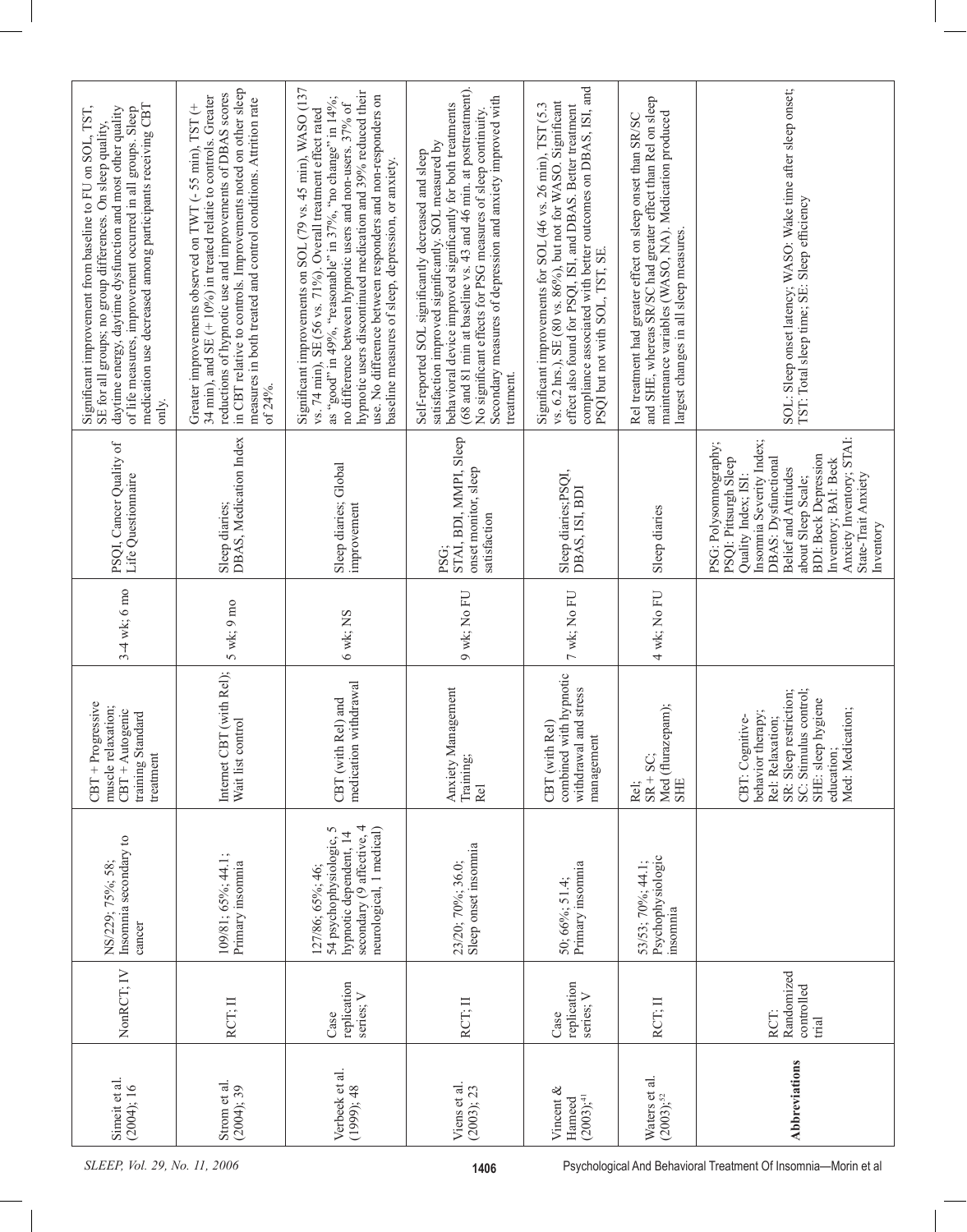| medication use decreased among participants receiving CBT<br>daytime energy, daytime dysfunction and most other quality<br>Significant improvement from baseline to FU on SOL, TST,<br>of life measures, improvement occurred in all groups. Sleep<br>SE for all groups; no group differences. On sleep quality,<br>only. | in CBT relative to controls. Improvements noted on other sleep<br>reductions of hypnotic use and improvements of DBAS scores<br>34 min), and SE (+ 10%) in treated relatie to controls. Greater<br>measures in both treated and control conditions. Attrition rate<br>Greater improvements observed on TWT (- 55 min), TST (+<br>of 24%. | Significant improvements on SOL (79 vs. 45 min), WASO (137<br>hypnotic users discontinued medication and 39% reduced their<br>use. No difference between responders and non-responders on<br>as "good" in 49%, "reasonable" in 37%, "no change" in 14%;<br>no difference between hypnotic users and non-users. 37% of<br>vs. 74 min), SE (56 vs. 71%). Overall treatment effect rated<br>baseline measures of sleep, depression, or anxiety. | (68 and 81 min at baseline vs. 43 and 46 min. at posttreatment).<br>Secondary measures of depression and anxiety improved with<br>behavioral device improved significantly for both treatments<br>No significant effects for PSG measures of sleep continuity.<br>satisfaction improved significantly. SOL measured by<br>Self-reported SOL significantly decreased and sleep<br>treatment. | compliance associated with better outcomes on DBAS, ISI, and<br>vs. 6.2 hrs.), SE (80 vs. 86%), but not for WASO. Significant<br>Significant improvements for SOL (46 vs. 26 min), TST (5.3<br>effect also found for PSQI, ISI, and DBAS. Better treatment<br>PSQI but not with SOL, TST, SE. | and SHE, whereas SR/SC had greater effect than Rel on sleep<br>maintenance variables (WASO, NA). Medication produced<br>Rel treatment had greater effect on sleep onset than SR/SC<br>largest changes in all sleep measures. | SOL: Sleep onset latency; WASO: Wake time after sleep onset;<br>TST: Total sleep time; SE: Sleep efficiency                                                                                                                                                                                          |
|---------------------------------------------------------------------------------------------------------------------------------------------------------------------------------------------------------------------------------------------------------------------------------------------------------------------------|------------------------------------------------------------------------------------------------------------------------------------------------------------------------------------------------------------------------------------------------------------------------------------------------------------------------------------------|----------------------------------------------------------------------------------------------------------------------------------------------------------------------------------------------------------------------------------------------------------------------------------------------------------------------------------------------------------------------------------------------------------------------------------------------|---------------------------------------------------------------------------------------------------------------------------------------------------------------------------------------------------------------------------------------------------------------------------------------------------------------------------------------------------------------------------------------------|-----------------------------------------------------------------------------------------------------------------------------------------------------------------------------------------------------------------------------------------------------------------------------------------------|------------------------------------------------------------------------------------------------------------------------------------------------------------------------------------------------------------------------------|------------------------------------------------------------------------------------------------------------------------------------------------------------------------------------------------------------------------------------------------------------------------------------------------------|
| PSQI, Cancer Quality of<br>Life Questionnaire                                                                                                                                                                                                                                                                             | DBAS, Medication Index<br>Sleep diaries;                                                                                                                                                                                                                                                                                                 | Sleep diaries; Global<br>improvement                                                                                                                                                                                                                                                                                                                                                                                                         | STAI, BDI, MMPI, Sleep<br>onset monitor, sleep<br>satisfaction<br>PSG;                                                                                                                                                                                                                                                                                                                      | Sleep diaries;PSQI,<br>DBAS, ISI, BDI                                                                                                                                                                                                                                                         | Sleep diaries                                                                                                                                                                                                                | Anxiety Inventory; STAI:<br>Insomnia Severity Index;<br>PSG: Polysomnography;<br><b>BDI: Beck Depression</b><br>PSQI: Pittsurgh Sleep<br>DBAS: Dysfunctional<br>Inventory; BAI: Beck<br><b>Belief and Attitudes</b><br>State-Trait Anxiety<br>Quality Index; ISI:<br>about Sleep Scale;<br>Inventory |
| $3-4$ wk; 6 mo                                                                                                                                                                                                                                                                                                            | $5$ wk; $9$ mo                                                                                                                                                                                                                                                                                                                           | 6 wk; NS                                                                                                                                                                                                                                                                                                                                                                                                                                     | 9 wk; No FU                                                                                                                                                                                                                                                                                                                                                                                 | 7 wk; No FU                                                                                                                                                                                                                                                                                   | 4 wk; No FU                                                                                                                                                                                                                  |                                                                                                                                                                                                                                                                                                      |
| $CBT + Progressive$<br>muscle relaxation;<br>$CBT + Autogenic$<br>training Standard<br>treatment                                                                                                                                                                                                                          | Internet CBT (with Rel);<br>Wait list control                                                                                                                                                                                                                                                                                            | medication withdrawal<br>Rel) and<br>CBT (with                                                                                                                                                                                                                                                                                                                                                                                               | Anxiety Management<br>Training;<br>Rel                                                                                                                                                                                                                                                                                                                                                      | combined with hypnotic<br>withdrawal and stress<br>Rel)<br>management<br>CBT (with                                                                                                                                                                                                            | Med (flurazepam);<br>$SR + SC$<br><b>SHE</b><br>Rel;                                                                                                                                                                         | SC: Stimulus control;<br>SR: Sleep restriction;<br>SHE: sleep hygiene<br>Med: Medication;<br>behavior therapy;<br>CBT: Cognitive-<br>Rel: Relaxation;<br>education;                                                                                                                                  |
| Insomnia secondary to<br>NS/229; 75%; 58;<br>cancer                                                                                                                                                                                                                                                                       | 109/81; 65%; 44.1;<br>Primary insomnia                                                                                                                                                                                                                                                                                                   | secondary (9 affective, 4<br>neurological, 1 medical)<br>54 psychophysiologic, 5<br>hypnotic dependent, 14<br>127/86; 65%; 46;                                                                                                                                                                                                                                                                                                               | Sleep onset insomnia<br>23/20; 70%; 36.0;                                                                                                                                                                                                                                                                                                                                                   | Primary insomnia<br>50; 66%; 51.4;                                                                                                                                                                                                                                                            | Psychophysiologic<br>53/53; 70%; 44.1;<br>insomnia                                                                                                                                                                           |                                                                                                                                                                                                                                                                                                      |
| NonRCT; IV                                                                                                                                                                                                                                                                                                                | RCT; II                                                                                                                                                                                                                                                                                                                                  | replication<br>series; V<br>Case                                                                                                                                                                                                                                                                                                                                                                                                             | RCT: II                                                                                                                                                                                                                                                                                                                                                                                     | replication<br>series; V<br>Case                                                                                                                                                                                                                                                              | RCT; II                                                                                                                                                                                                                      | Randomized<br>controlled<br>RCT:<br>Inial                                                                                                                                                                                                                                                            |
| Simeit et al.<br>(2004); 16                                                                                                                                                                                                                                                                                               | Strom et al.<br>(2004); 39                                                                                                                                                                                                                                                                                                               | Verbeek et al.<br>$(1999)$ ; 48                                                                                                                                                                                                                                                                                                                                                                                                              | Viens et al.<br>(2003); 23                                                                                                                                                                                                                                                                                                                                                                  | Vincent &<br>$(2003),$ <sup>41</sup><br>Hameed                                                                                                                                                                                                                                                | Waters et al.<br>$(2003), ^{52}$                                                                                                                                                                                             | <b>Abbreviations</b>                                                                                                                                                                                                                                                                                 |
| SLEEP, Vol. 29, No. 11, 2006<br>1406                                                                                                                                                                                                                                                                                      |                                                                                                                                                                                                                                                                                                                                          |                                                                                                                                                                                                                                                                                                                                                                                                                                              |                                                                                                                                                                                                                                                                                                                                                                                             |                                                                                                                                                                                                                                                                                               |                                                                                                                                                                                                                              | Psychological And Behavioral Treatment Of Insomnia-Morin et al                                                                                                                                                                                                                                       |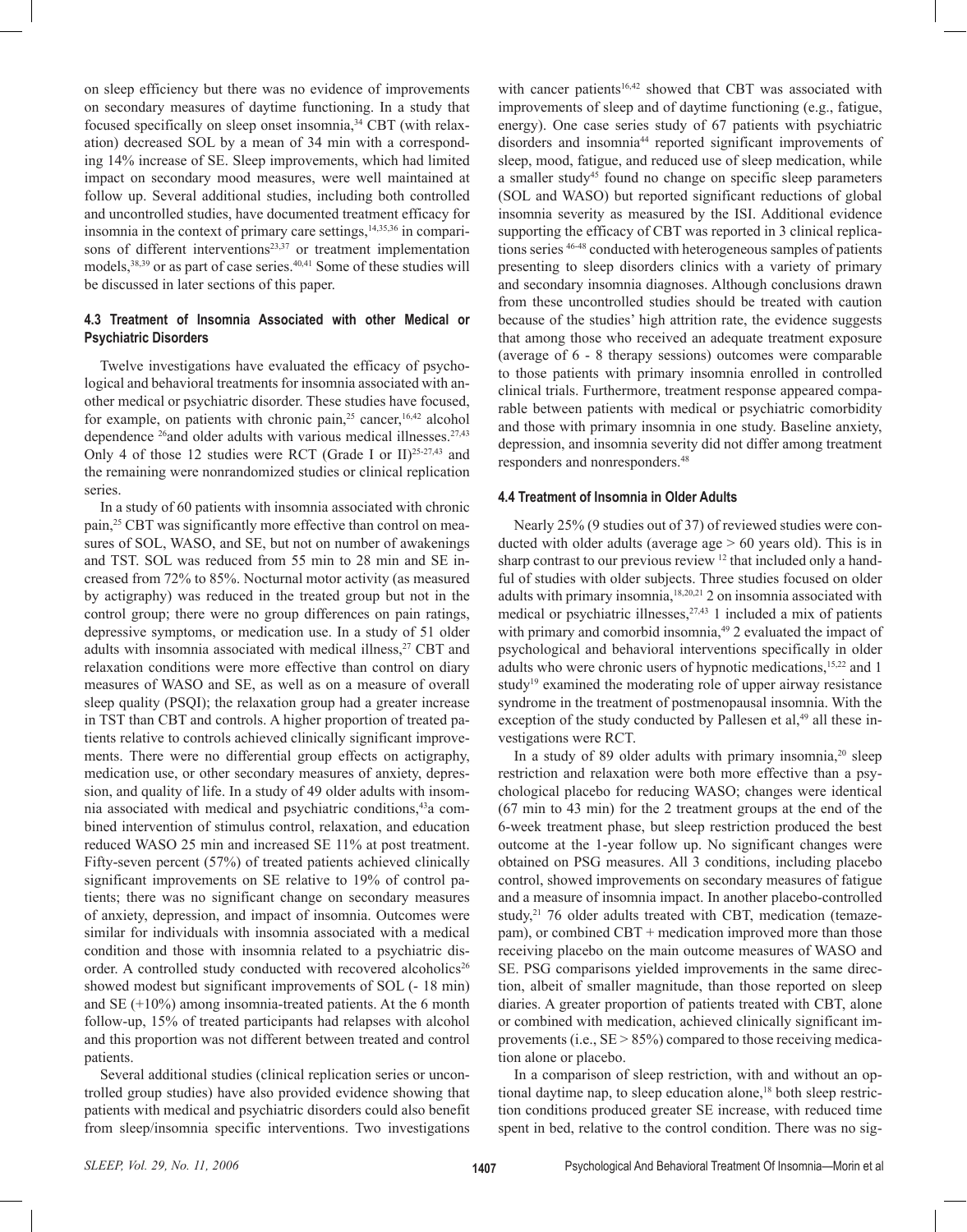on sleep efficiency but there was no evidence of improvements on secondary measures of daytime functioning. In a study that focused specifically on sleep onset insomnia,34 CBT (with relaxation) decreased SOL by a mean of 34 min with a corresponding 14% increase of SE. Sleep improvements, which had limited impact on secondary mood measures, were well maintained at follow up. Several additional studies, including both controlled and uncontrolled studies, have documented treatment efficacy for insomnia in the context of primary care settings, $14,35,36$  in comparisons of different interventions<sup>23,37</sup> or treatment implementation models,<sup>38,39</sup> or as part of case series.<sup>40,41</sup> Some of these studies will be discussed in later sections of this paper.

## **4.3 Treatment of Insomnia Associated with other Medical or Psychiatric Disorders**

 Twelve investigations have evaluated the efficacy of psychological and behavioral treatments for insomnia associated with another medical or psychiatric disorder. These studies have focused, for example, on patients with chronic pain,<sup>25</sup> cancer,<sup>16,42</sup> alcohol dependence <sup>26</sup>and older adults with various medical illnesses.<sup>27,43</sup> Only 4 of those 12 studies were RCT (Grade I or II)<sup>25-27,43</sup> and the remaining were nonrandomized studies or clinical replication series.

 In a study of 60 patients with insomnia associated with chronic pain,25 CBT was significantly more effective than control on measures of SOL, WASO, and SE, but not on number of awakenings and TST. SOL was reduced from 55 min to 28 min and SE increased from 72% to 85%. Nocturnal motor activity (as measured by actigraphy) was reduced in the treated group but not in the control group; there were no group differences on pain ratings, depressive symptoms, or medication use. In a study of 51 older adults with insomnia associated with medical illness,<sup>27</sup> CBT and relaxation conditions were more effective than control on diary measures of WASO and SE, as well as on a measure of overall sleep quality (PSQI); the relaxation group had a greater increase in TST than CBT and controls. A higher proportion of treated patients relative to controls achieved clinically significant improvements. There were no differential group effects on actigraphy, medication use, or other secondary measures of anxiety, depression, and quality of life. In a study of 49 older adults with insomnia associated with medical and psychiatric conditions,43a combined intervention of stimulus control, relaxation, and education reduced WASO 25 min and increased SE 11% at post treatment. Fifty-seven percent (57%) of treated patients achieved clinically significant improvements on SE relative to 19% of control patients; there was no significant change on secondary measures of anxiety, depression, and impact of insomnia. Outcomes were similar for individuals with insomnia associated with a medical condition and those with insomnia related to a psychiatric disorder. A controlled study conducted with recovered alcoholics<sup>26</sup> showed modest but significant improvements of SOL (- 18 min) and  $SE (+10\%)$  among insomnia-treated patients. At the 6 month follow-up, 15% of treated participants had relapses with alcohol and this proportion was not different between treated and control patients.

 Several additional studies (clinical replication series or uncontrolled group studies) have also provided evidence showing that patients with medical and psychiatric disorders could also benefit from sleep/insomnia specific interventions. Two investigations with cancer patients<sup>16,42</sup> showed that CBT was associated with improvements of sleep and of daytime functioning (e.g., fatigue, energy). One case series study of 67 patients with psychiatric disorders and insomnia44 reported significant improvements of sleep, mood, fatigue, and reduced use of sleep medication, while a smaller study<sup>45</sup> found no change on specific sleep parameters (SOL and WASO) but reported significant reductions of global insomnia severity as measured by the ISI. Additional evidence supporting the efficacy of CBT was reported in 3 clinical replications series 46-48 conducted with heterogeneous samples of patients presenting to sleep disorders clinics with a variety of primary and secondary insomnia diagnoses. Although conclusions drawn from these uncontrolled studies should be treated with caution because of the studies' high attrition rate, the evidence suggests that among those who received an adequate treatment exposure (average of 6 - 8 therapy sessions) outcomes were comparable to those patients with primary insomnia enrolled in controlled clinical trials. Furthermore, treatment response appeared comparable between patients with medical or psychiatric comorbidity and those with primary insomnia in one study. Baseline anxiety, depression, and insomnia severity did not differ among treatment responders and nonresponders.48

#### **4.4 Treatment of Insomnia in Older Adults**

 Nearly 25% (9 studies out of 37) of reviewed studies were conducted with older adults (average age  $> 60$  years old). This is in sharp contrast to our previous review <sup>12</sup> that included only a handful of studies with older subjects. Three studies focused on older adults with primary insomnia,18,20,21 2 on insomnia associated with medical or psychiatric illnesses,  $27,43$  1 included a mix of patients with primary and comorbid insomnia,<sup>49</sup> 2 evaluated the impact of psychological and behavioral interventions specifically in older adults who were chronic users of hypnotic medications,<sup>15,22</sup> and 1 study<sup>19</sup> examined the moderating role of upper airway resistance syndrome in the treatment of postmenopausal insomnia. With the exception of the study conducted by Pallesen et al,<sup>49</sup> all these investigations were RCT.

In a study of 89 older adults with primary insomnia,<sup>20</sup> sleep restriction and relaxation were both more effective than a psychological placebo for reducing WASO; changes were identical (67 min to 43 min) for the 2 treatment groups at the end of the 6-week treatment phase, but sleep restriction produced the best outcome at the 1-year follow up. No significant changes were obtained on PSG measures. All 3 conditions, including placebo control, showed improvements on secondary measures of fatigue and a measure of insomnia impact. In another placebo-controlled study,<sup>21</sup> 76 older adults treated with CBT, medication (temazepam), or combined CBT + medication improved more than those receiving placebo on the main outcome measures of WASO and SE. PSG comparisons yielded improvements in the same direction, albeit of smaller magnitude, than those reported on sleep diaries. A greater proportion of patients treated with CBT, alone or combined with medication, achieved clinically significant improvements (i.e.,  $SE > 85\%$ ) compared to those receiving medication alone or placebo.

 In a comparison of sleep restriction, with and without an optional daytime nap, to sleep education alone, $18$  both sleep restriction conditions produced greater SE increase, with reduced time spent in bed, relative to the control condition. There was no sig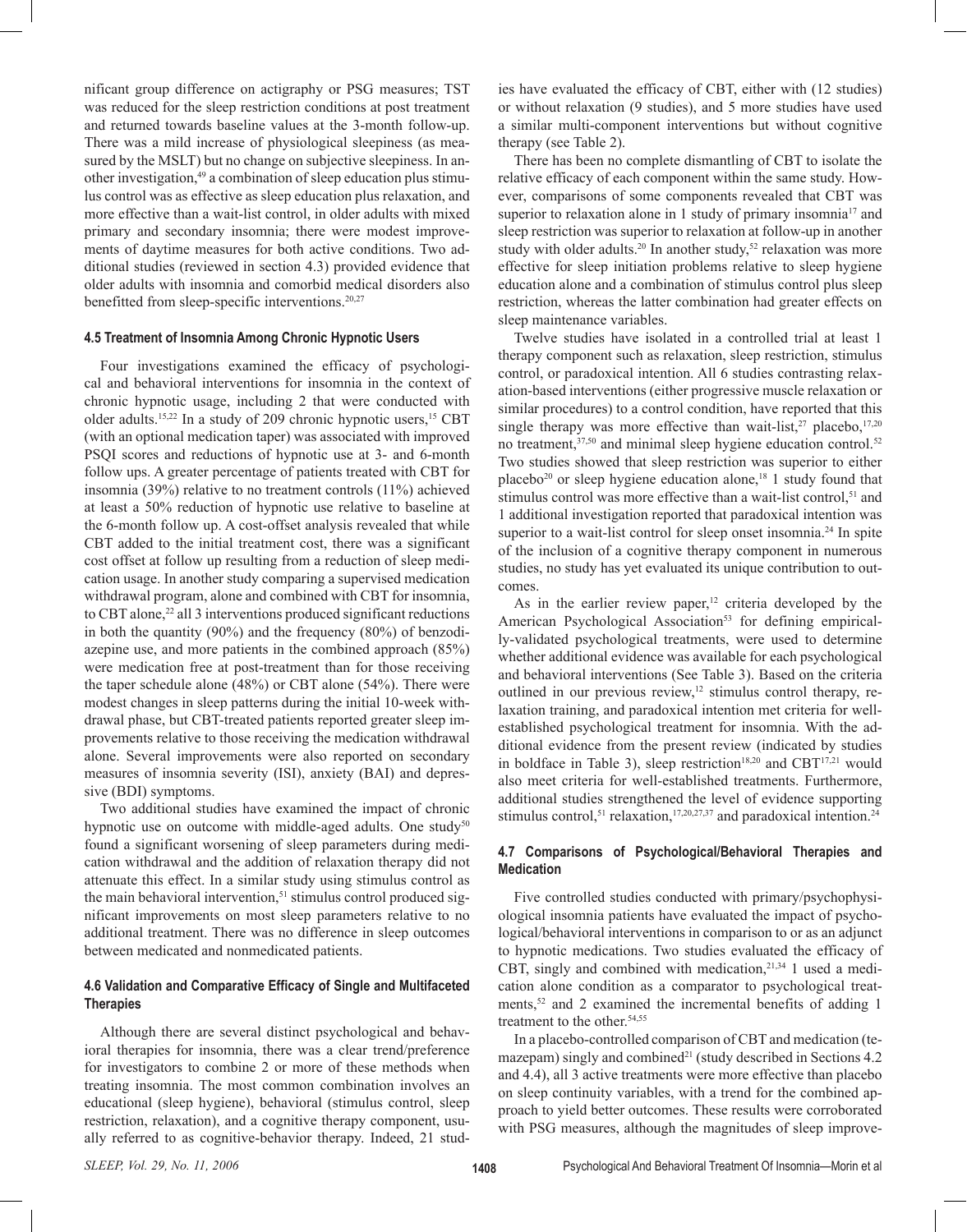nificant group difference on actigraphy or PSG measures; TST was reduced for the sleep restriction conditions at post treatment and returned towards baseline values at the 3-month follow-up. There was a mild increase of physiological sleepiness (as measured by the MSLT) but no change on subjective sleepiness. In another investigation,49 a combination of sleep education plus stimulus control was as effective as sleep education plus relaxation, and more effective than a wait-list control, in older adults with mixed primary and secondary insomnia; there were modest improvements of daytime measures for both active conditions. Two additional studies (reviewed in section 4.3) provided evidence that older adults with insomnia and comorbid medical disorders also benefitted from sleep-specific interventions.<sup>20,27</sup>

#### **4.5 Treatment of Insomnia Among Chronic Hypnotic Users**

 Four investigations examined the efficacy of psychological and behavioral interventions for insomnia in the context of chronic hypnotic usage, including 2 that were conducted with older adults.<sup>15,22</sup> In a study of 209 chronic hypnotic users,<sup>15</sup> CBT (with an optional medication taper) was associated with improved PSQI scores and reductions of hypnotic use at 3- and 6-month follow ups. A greater percentage of patients treated with CBT for insomnia (39%) relative to no treatment controls (11%) achieved at least a 50% reduction of hypnotic use relative to baseline at the 6-month follow up. A cost-offset analysis revealed that while CBT added to the initial treatment cost, there was a significant cost offset at follow up resulting from a reduction of sleep medication usage. In another study comparing a supervised medication withdrawal program, alone and combined with CBT for insomnia, to CBT alone,<sup>22</sup> all 3 interventions produced significant reductions in both the quantity (90%) and the frequency (80%) of benzodiazepine use, and more patients in the combined approach (85%) were medication free at post-treatment than for those receiving the taper schedule alone (48%) or CBT alone (54%). There were modest changes in sleep patterns during the initial 10-week withdrawal phase, but CBT-treated patients reported greater sleep improvements relative to those receiving the medication withdrawal alone. Several improvements were also reported on secondary measures of insomnia severity (ISI), anxiety (BAI) and depressive (BDI) symptoms.

 Two additional studies have examined the impact of chronic hypnotic use on outcome with middle-aged adults. One study<sup>50</sup> found a significant worsening of sleep parameters during medication withdrawal and the addition of relaxation therapy did not attenuate this effect. In a similar study using stimulus control as the main behavioral intervention,<sup>51</sup> stimulus control produced significant improvements on most sleep parameters relative to no additional treatment. There was no difference in sleep outcomes between medicated and nonmedicated patients.

#### **4.6 Validation and Comparative Efficacy of Single and Multifaceted Therapies**

 Although there are several distinct psychological and behavioral therapies for insomnia, there was a clear trend/preference for investigators to combine 2 or more of these methods when treating insomnia. The most common combination involves an educational (sleep hygiene), behavioral (stimulus control, sleep restriction, relaxation), and a cognitive therapy component, usually referred to as cognitive-behavior therapy. Indeed, 21 studies have evaluated the efficacy of CBT, either with (12 studies) or without relaxation (9 studies), and 5 more studies have used a similar multi-component interventions but without cognitive therapy (see Table 2).

 There has been no complete dismantling of CBT to isolate the relative efficacy of each component within the same study. However, comparisons of some components revealed that CBT was superior to relaxation alone in 1 study of primary insomnia<sup>17</sup> and sleep restriction was superior to relaxation at follow-up in another study with older adults.<sup>20</sup> In another study,<sup>52</sup> relaxation was more effective for sleep initiation problems relative to sleep hygiene education alone and a combination of stimulus control plus sleep restriction, whereas the latter combination had greater effects on sleep maintenance variables.

 Twelve studies have isolated in a controlled trial at least 1 therapy component such as relaxation, sleep restriction, stimulus control, or paradoxical intention. All 6 studies contrasting relaxation-based interventions (either progressive muscle relaxation or similar procedures) to a control condition, have reported that this single therapy was more effective than wait-list,<sup>27</sup> placebo,<sup>17,20</sup> no treatment,<sup>37,50</sup> and minimal sleep hygiene education control.<sup>52</sup> Two studies showed that sleep restriction was superior to either placebo<sup>20</sup> or sleep hygiene education alone,<sup>18</sup> 1 study found that stimulus control was more effective than a wait-list control,<sup>51</sup> and 1 additional investigation reported that paradoxical intention was superior to a wait-list control for sleep onset insomnia.<sup>24</sup> In spite of the inclusion of a cognitive therapy component in numerous studies, no study has yet evaluated its unique contribution to outcomes.

As in the earlier review paper, $12$  criteria developed by the American Psychological Association<sup>53</sup> for defining empirically-validated psychological treatments, were used to determine whether additional evidence was available for each psychological and behavioral interventions (See Table 3). Based on the criteria outlined in our previous review,<sup>12</sup> stimulus control therapy, relaxation training, and paradoxical intention met criteria for wellestablished psychological treatment for insomnia. With the additional evidence from the present review (indicated by studies in boldface in Table 3), sleep restriction<sup>18,20</sup> and CBT<sup>17,21</sup> would also meet criteria for well-established treatments. Furthermore, additional studies strengthened the level of evidence supporting stimulus control,<sup>51</sup> relaxation,<sup>17,20,27,37</sup> and paradoxical intention.<sup>24</sup>

## **4.7 Comparisons of Psychological/Behavioral Therapies and Medication**

 Five controlled studies conducted with primary/psychophysiological insomnia patients have evaluated the impact of psychological/behavioral interventions in comparison to or as an adjunct to hypnotic medications. Two studies evaluated the efficacy of CBT, singly and combined with medication, $2^{1,34}$  1 used a medication alone condition as a comparator to psychological treatments,<sup>52</sup> and 2 examined the incremental benefits of adding 1 treatment to the other.<sup>54,55</sup>

 In a placebo-controlled comparison of CBT and medication (temazepam) singly and combined<sup>21</sup> (study described in Sections  $4.2$ and 4.4), all 3 active treatments were more effective than placebo on sleep continuity variables, with a trend for the combined approach to yield better outcomes. These results were corroborated with PSG measures, although the magnitudes of sleep improve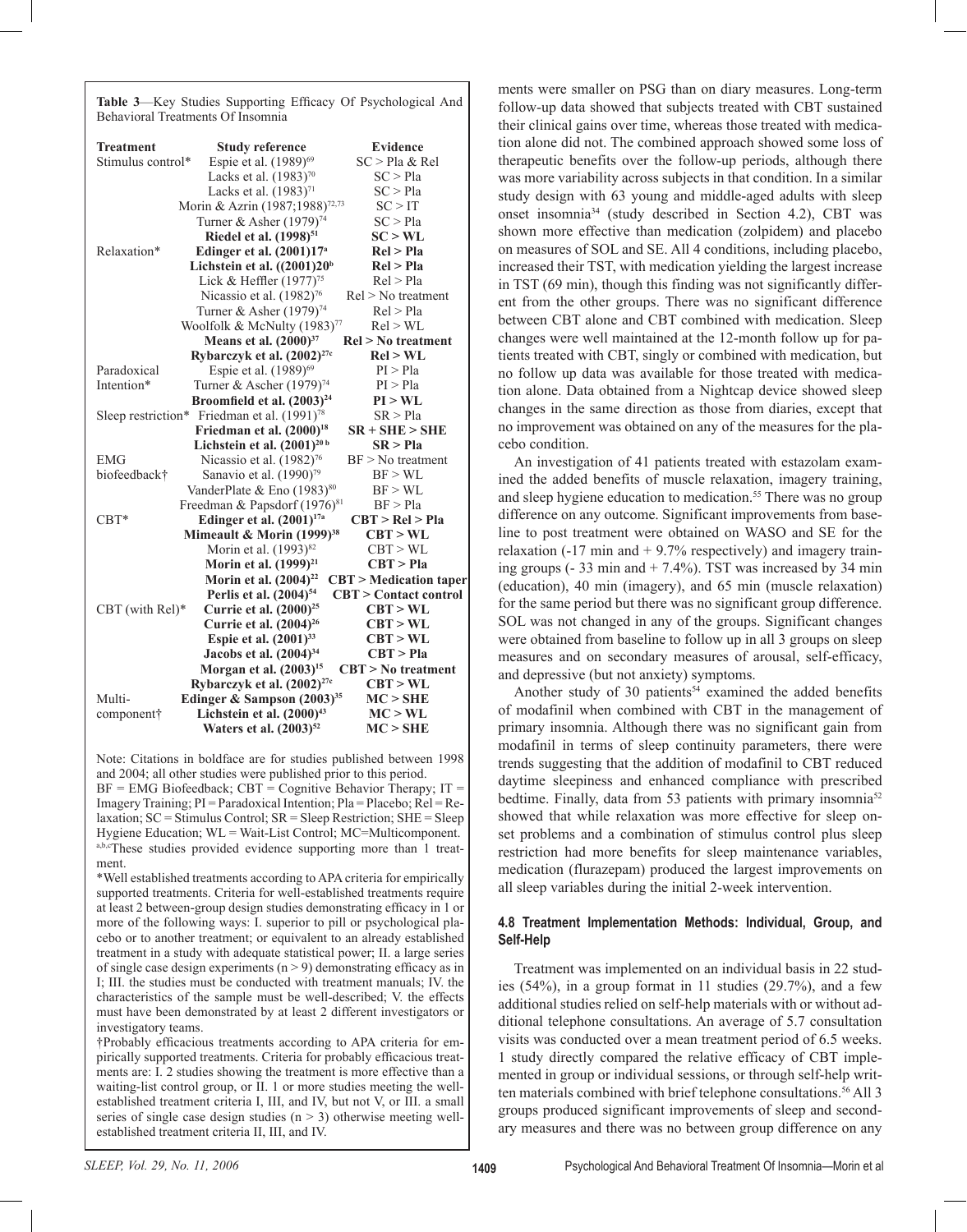**Table 3**—Key Studies Supporting Efficacy Of Psychological And Behavioral Treatments Of Insomnia

| <b>Treatment</b>  | <b>Study reference</b>                                  | <b>Evidence</b>               |
|-------------------|---------------------------------------------------------|-------------------------------|
| Stimulus control* | Espie et al. (1989) <sup>69</sup>                       | SC > Pla & Rel                |
|                   | Lacks et al. $(1983)^{70}$                              | SC > Pla                      |
|                   | Lacks et al. (1983) <sup>71</sup>                       | SC > Pla                      |
|                   | Morin & Azrin (1987;1988) <sup>72,73</sup>              | SC > IT                       |
|                   | Turner & Asher (1979) <sup>74</sup>                     | SC > Pla                      |
|                   | Riedel et al. (1998) <sup>51</sup>                      | SC > WL                       |
| Relaxation*       | Edinger et al. (2001)17 <sup>a</sup>                    | Rel > Pla                     |
|                   | Lichstein et al. $((2001)20b$                           | Rel > Pla                     |
|                   | Lick & Heffler (1977) <sup>75</sup>                     | Rel > Pla                     |
|                   | Nicassio et al. (1982) <sup>76</sup>                    | $Rel > No$ treatment          |
|                   | Turner & Asher (1979) <sup>74</sup>                     | Rel > Pla                     |
|                   | Woolfolk & McNulty (1983) <sup>77</sup>                 | Rel > WL                      |
|                   | Means et al. (2000) <sup>37</sup>                       | $Rel > No$ treatment          |
|                   | Rybarczyk et al. (2002) <sup>27c</sup>                  | Rel > WL                      |
| Paradoxical       | Espie et al. (1989) <sup>69</sup>                       | PI > Pla                      |
| Intention*        | Turner & Ascher (1979) <sup>74</sup>                    | PI > Pla                      |
|                   | Broomfield et al. (2003) <sup>24</sup>                  | PI > WL                       |
|                   | Sleep restriction* Friedman et al. (1991) <sup>78</sup> | SR > Pla                      |
|                   | Friedman et al. (2000) <sup>18</sup>                    | $SR + SHE > SHE$              |
|                   | Lichstein et al. $(2001)^{20 b}$                        | SR > P1a                      |
| <b>EMG</b>        | Nicassio et al. $(1982)^{76}$                           | $BF > No$ treatment           |
| biofeedback†      | Sanavio et al. (1990) <sup>79</sup>                     | BF > WL                       |
|                   | VanderPlate & Eno (1983) <sup>80</sup>                  | BF > WL                       |
|                   | Freedman & Papsdorf (1976) <sup>81</sup>                | BF > Pla                      |
| $CBT^*$           | Edinger et al. (2001) <sup>17a</sup>                    | CBT > Rel > Pla               |
|                   | Mimeault & Morin (1999) <sup>38</sup>                   | CBT > WL                      |
|                   | Morin et al. (1993) <sup>82</sup>                       | CBT > WL                      |
|                   | Morin et al. (1999) <sup>21</sup>                       | CBT > Pla                     |
|                   | Morin et al. (2004) <sup>22</sup>                       | <b>CBT</b> > Medication taper |
|                   | Perlis et al. (2004) <sup>54</sup>                      | <b>CBT</b> > Contact control  |
| $CBT$ (with Rel)* | Currie et al. (2000) <sup>25</sup>                      | CBT > WL                      |
|                   | Currie et al. (2004) <sup>26</sup>                      | CBT > WL                      |
|                   | Espie et al. $(2001)^{33}$                              | CBT > WL                      |
|                   | Jacobs et al. (2004) <sup>34</sup>                      | CBT > Pla                     |
|                   | Morgan et al. $(2003)^{15}$                             | <b>CBT</b> > No treatment     |
|                   | Rybarczyk et al. (2002) <sup>27c</sup>                  | CBT > WL                      |
| Multi-            | Edinger & Sampson (2003) <sup>35</sup>                  | MC > SHE                      |
| component†        | Lichstein et al. (2000) <sup>43</sup>                   | MC > WL                       |
|                   | Waters et al. (2003) <sup>52</sup>                      | MC > SHE                      |

Note: Citations in boldface are for studies published between 1998 and 2004; all other studies were published prior to this period.  $BF = EMG Biofeedback; CBT = Cognitive Behavior Theory; IT =$ Imagery Training; PI = Paradoxical Intention; Pla = Placebo; Rel = Relaxation;  $SC = Stimulus Control$ ;  $SR = Sleep Restriction$ ;  $SHE = Sleep$ Hygiene Education; WL = Wait-List Control; MC=Multicomponent. a,b,cThese studies provided evidence supporting more than 1 treatment.

\*Well established treatments according to APA criteria for empirically supported treatments. Criteria for well-established treatments require at least 2 between-group design studies demonstrating efficacy in 1 or more of the following ways: I. superior to pill or psychological placebo or to another treatment; or equivalent to an already established treatment in a study with adequate statistical power; II. a large series of single case design experiments ( $n > 9$ ) demonstrating efficacy as in I; III. the studies must be conducted with treatment manuals; IV. the characteristics of the sample must be well-described; V. the effects must have been demonstrated by at least 2 different investigators or investigatory teams.

†Probably efficacious treatments according to APA criteria for empirically supported treatments. Criteria for probably efficacious treatments are: I. 2 studies showing the treatment is more effective than a waiting-list control group, or II. 1 or more studies meeting the wellestablished treatment criteria I, III, and IV, but not V, or III. a small series of single case design studies  $(n \geq 3)$  otherwise meeting wellestablished treatment criteria II, III, and IV.

ments were smaller on PSG than on diary measures. Long-term follow-up data showed that subjects treated with CBT sustained their clinical gains over time, whereas those treated with medication alone did not. The combined approach showed some loss of therapeutic benefits over the follow-up periods, although there was more variability across subjects in that condition. In a similar study design with 63 young and middle-aged adults with sleep onset insomnia34 (study described in Section 4.2), CBT was shown more effective than medication (zolpidem) and placebo on measures of SOL and SE. All 4 conditions, including placebo, increased their TST, with medication yielding the largest increase in TST (69 min), though this finding was not significantly different from the other groups. There was no significant difference between CBT alone and CBT combined with medication. Sleep changes were well maintained at the 12-month follow up for patients treated with CBT, singly or combined with medication, but no follow up data was available for those treated with medication alone. Data obtained from a Nightcap device showed sleep changes in the same direction as those from diaries, except that no improvement was obtained on any of the measures for the placebo condition.

 An investigation of 41 patients treated with estazolam examined the added benefits of muscle relaxation, imagery training, and sleep hygiene education to medication.<sup>55</sup> There was no group difference on any outcome. Significant improvements from baseline to post treatment were obtained on WASO and SE for the relaxation  $(-17 \text{ min and } +9.7\%$  respectively) and imagery training groups  $(-33 \text{ min and } +7.4\%)$ . TST was increased by 34 min (education), 40 min (imagery), and 65 min (muscle relaxation) for the same period but there was no significant group difference. SOL was not changed in any of the groups. Significant changes were obtained from baseline to follow up in all 3 groups on sleep measures and on secondary measures of arousal, self-efficacy, and depressive (but not anxiety) symptoms.

Another study of 30 patients $54$  examined the added benefits of modafinil when combined with CBT in the management of primary insomnia. Although there was no significant gain from modafinil in terms of sleep continuity parameters, there were trends suggesting that the addition of modafinil to CBT reduced daytime sleepiness and enhanced compliance with prescribed bedtime. Finally, data from 53 patients with primary insomnia<sup>52</sup> showed that while relaxation was more effective for sleep onset problems and a combination of stimulus control plus sleep restriction had more benefits for sleep maintenance variables, medication (flurazepam) produced the largest improvements on all sleep variables during the initial 2-week intervention.

## **4.8 Treatment Implementation Methods: Individual, Group, and Self-Help**

 Treatment was implemented on an individual basis in 22 studies (54%), in a group format in 11 studies (29.7%), and a few additional studies relied on self-help materials with or without additional telephone consultations. An average of 5.7 consultation visits was conducted over a mean treatment period of 6.5 weeks. 1 study directly compared the relative efficacy of CBT implemented in group or individual sessions, or through self-help written materials combined with brief telephone consultations.<sup>56</sup> All 3 groups produced significant improvements of sleep and secondary measures and there was no between group difference on any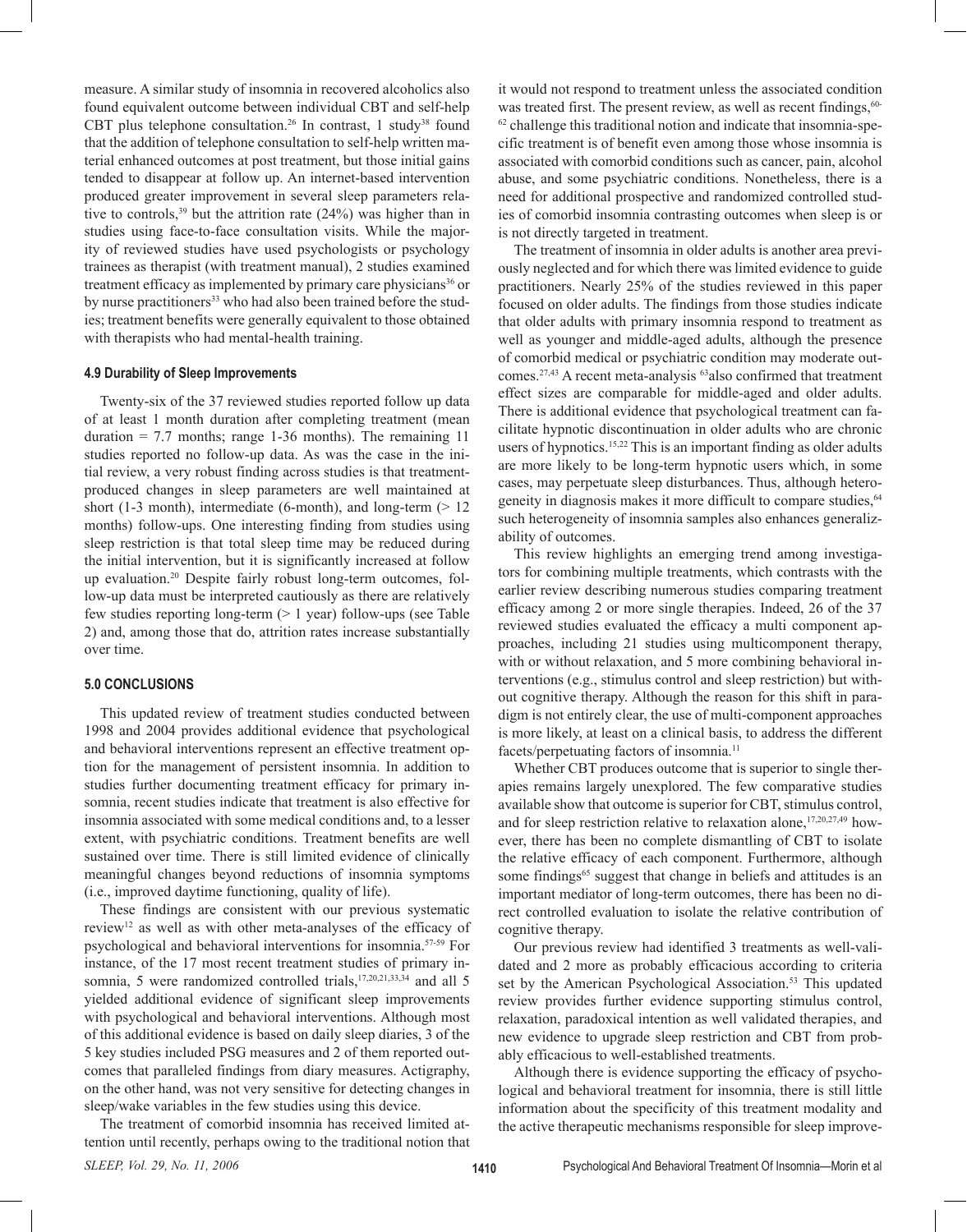measure. A similar study of insomnia in recovered alcoholics also found equivalent outcome between individual CBT and self-help CBT plus telephone consultation.<sup>26</sup> In contrast, 1 study<sup>38</sup> found that the addition of telephone consultation to self-help written material enhanced outcomes at post treatment, but those initial gains tended to disappear at follow up. An internet-based intervention produced greater improvement in several sleep parameters relative to controls,  $39$  but the attrition rate (24%) was higher than in studies using face-to-face consultation visits. While the majority of reviewed studies have used psychologists or psychology trainees as therapist (with treatment manual), 2 studies examined treatment efficacy as implemented by primary care physicians<sup>36</sup> or by nurse practitioners<sup>33</sup> who had also been trained before the studies; treatment benefits were generally equivalent to those obtained with therapists who had mental-health training.

#### **4.9 Durability of Sleep Improvements**

 Twenty-six of the 37 reviewed studies reported follow up data of at least 1 month duration after completing treatment (mean duration  $= 7.7$  months; range 1-36 months). The remaining 11 studies reported no follow-up data. As was the case in the initial review, a very robust finding across studies is that treatmentproduced changes in sleep parameters are well maintained at short (1-3 month), intermediate (6-month), and long-term  $(> 12$ months) follow-ups. One interesting finding from studies using sleep restriction is that total sleep time may be reduced during the initial intervention, but it is significantly increased at follow up evaluation.20 Despite fairly robust long-term outcomes, follow-up data must be interpreted cautiously as there are relatively few studies reporting long-term  $(> 1 \text{ year})$  follow-ups (see Table 2) and, among those that do, attrition rates increase substantially over time.

#### **5.0 CONCLUSIONS**

 This updated review of treatment studies conducted between 1998 and 2004 provides additional evidence that psychological and behavioral interventions represent an effective treatment option for the management of persistent insomnia. In addition to studies further documenting treatment efficacy for primary insomnia, recent studies indicate that treatment is also effective for insomnia associated with some medical conditions and, to a lesser extent, with psychiatric conditions. Treatment benefits are well sustained over time. There is still limited evidence of clinically meaningful changes beyond reductions of insomnia symptoms (i.e., improved daytime functioning, quality of life).

 These findings are consistent with our previous systematic review12 as well as with other meta-analyses of the efficacy of psychological and behavioral interventions for insomnia.57-59 For instance, of the 17 most recent treatment studies of primary insomnia, 5 were randomized controlled trials,<sup>17,20,21,33,34</sup> and all 5 yielded additional evidence of significant sleep improvements with psychological and behavioral interventions. Although most of this additional evidence is based on daily sleep diaries, 3 of the 5 key studies included PSG measures and 2 of them reported outcomes that paralleled findings from diary measures. Actigraphy, on the other hand, was not very sensitive for detecting changes in sleep/wake variables in the few studies using this device.

 The treatment of comorbid insomnia has received limited attention until recently, perhaps owing to the traditional notion that it would not respond to treatment unless the associated condition was treated first. The present review, as well as recent findings,  $60 62$  challenge this traditional notion and indicate that insomnia-specific treatment is of benefit even among those whose insomnia is associated with comorbid conditions such as cancer, pain, alcohol abuse, and some psychiatric conditions. Nonetheless, there is a need for additional prospective and randomized controlled studies of comorbid insomnia contrasting outcomes when sleep is or is not directly targeted in treatment.

 The treatment of insomnia in older adults is another area previously neglected and for which there was limited evidence to guide practitioners. Nearly 25% of the studies reviewed in this paper focused on older adults. The findings from those studies indicate that older adults with primary insomnia respond to treatment as well as younger and middle-aged adults, although the presence of comorbid medical or psychiatric condition may moderate outcomes.<sup>27,43</sup> A recent meta-analysis <sup>63</sup>also confirmed that treatment effect sizes are comparable for middle-aged and older adults. There is additional evidence that psychological treatment can facilitate hypnotic discontinuation in older adults who are chronic users of hypnotics.<sup>15,22</sup> This is an important finding as older adults are more likely to be long-term hypnotic users which, in some cases, may perpetuate sleep disturbances. Thus, although heterogeneity in diagnosis makes it more difficult to compare studies, <sup>64</sup> such heterogeneity of insomnia samples also enhances generalizability of outcomes.

 This review highlights an emerging trend among investigators for combining multiple treatments, which contrasts with the earlier review describing numerous studies comparing treatment efficacy among 2 or more single therapies. Indeed, 26 of the 37 reviewed studies evaluated the efficacy a multi component approaches, including 21 studies using multicomponent therapy, with or without relaxation, and 5 more combining behavioral interventions (e.g., stimulus control and sleep restriction) but without cognitive therapy. Although the reason for this shift in paradigm is not entirely clear, the use of multi-component approaches is more likely, at least on a clinical basis, to address the different facets/perpetuating factors of insomnia.11

 Whether CBT produces outcome that is superior to single therapies remains largely unexplored. The few comparative studies available show that outcome is superior for CBT, stimulus control, and for sleep restriction relative to relaxation alone,<sup>17,20,27,49</sup> however, there has been no complete dismantling of CBT to isolate the relative efficacy of each component. Furthermore, although some findings<sup>65</sup> suggest that change in beliefs and attitudes is an important mediator of long-term outcomes, there has been no direct controlled evaluation to isolate the relative contribution of cognitive therapy.

 Our previous review had identified 3 treatments as well-validated and 2 more as probably efficacious according to criteria set by the American Psychological Association.<sup>53</sup> This updated review provides further evidence supporting stimulus control, relaxation, paradoxical intention as well validated therapies, and new evidence to upgrade sleep restriction and CBT from probably efficacious to well-established treatments.

Although there is evidence supporting the efficacy of psychological and behavioral treatment for insomnia, there is still little information about the specificity of this treatment modality and the active therapeutic mechanisms responsible for sleep improve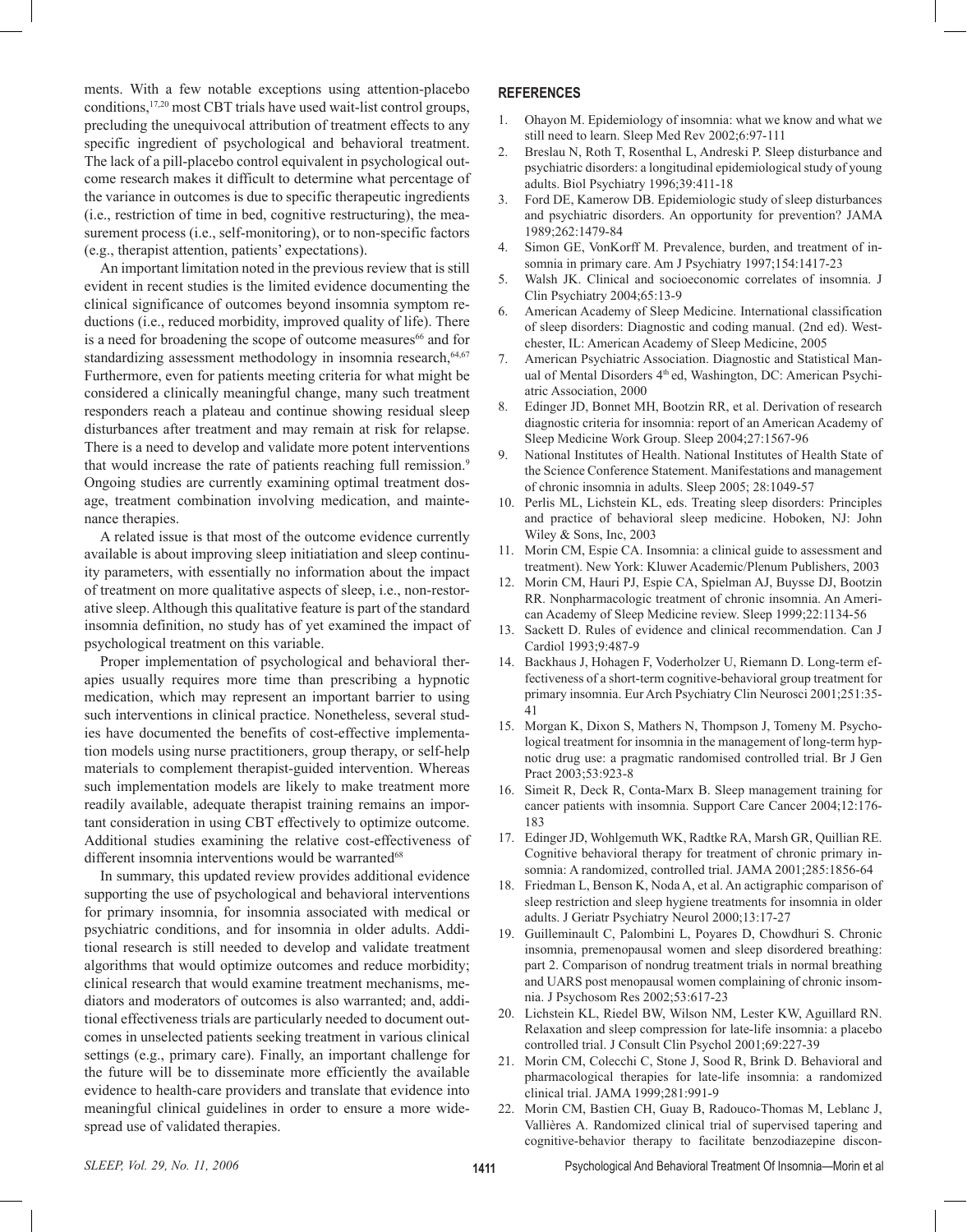ments. With a few notable exceptions using attention-placebo conditions,17,20 most CBT trials have used wait-list control groups, precluding the unequivocal attribution of treatment effects to any specific ingredient of psychological and behavioral treatment. The lack of a pill-placebo control equivalent in psychological outcome research makes it difficult to determine what percentage of the variance in outcomes is due to specific therapeutic ingredients (i.e., restriction of time in bed, cognitive restructuring), the measurement process (i.e., self-monitoring), or to non-specific factors (e.g., therapist attention, patients' expectations).

 An important limitation noted in the previous review that is still evident in recent studies is the limited evidence documenting the clinical significance of outcomes beyond insomnia symptom reductions (i.e., reduced morbidity, improved quality of life). There is a need for broadening the scope of outcome measures<sup>66</sup> and for standardizing assessment methodology in insomnia research,<sup>64,67</sup> Furthermore, even for patients meeting criteria for what might be considered a clinically meaningful change, many such treatment responders reach a plateau and continue showing residual sleep disturbances after treatment and may remain at risk for relapse. There is a need to develop and validate more potent interventions that would increase the rate of patients reaching full remission.<sup>9</sup> Ongoing studies are currently examining optimal treatment dosage, treatment combination involving medication, and maintenance therapies.

 A related issue is that most of the outcome evidence currently available is about improving sleep initiatiation and sleep continuity parameters, with essentially no information about the impact of treatment on more qualitative aspects of sleep, i.e., non-restorative sleep. Although this qualitative feature is part of the standard insomnia definition, no study has of yet examined the impact of psychological treatment on this variable.

 Proper implementation of psychological and behavioral therapies usually requires more time than prescribing a hypnotic medication, which may represent an important barrier to using such interventions in clinical practice. Nonetheless, several studies have documented the benefits of cost-effective implementation models using nurse practitioners, group therapy, or self-help materials to complement therapist-guided intervention. Whereas such implementation models are likely to make treatment more readily available, adequate therapist training remains an important consideration in using CBT effectively to optimize outcome. Additional studies examining the relative cost-effectiveness of different insomnia interventions would be warranted<sup>68</sup>

 In summary, this updated review provides additional evidence supporting the use of psychological and behavioral interventions for primary insomnia, for insomnia associated with medical or psychiatric conditions, and for insomnia in older adults. Additional research is still needed to develop and validate treatment algorithms that would optimize outcomes and reduce morbidity; clinical research that would examine treatment mechanisms, mediators and moderators of outcomes is also warranted; and, additional effectiveness trials are particularly needed to document outcomes in unselected patients seeking treatment in various clinical settings (e.g., primary care). Finally, an important challenge for the future will be to disseminate more efficiently the available evidence to health-care providers and translate that evidence into meaningful clinical guidelines in order to ensure a more widespread use of validated therapies.

#### **REFERENCES**

- 1. Ohayon M. Epidemiology of insomnia: what we know and what we still need to learn. Sleep Med Rev 2002;6:97-111
- 2. Breslau N, Roth T, Rosenthal L, Andreski P. Sleep disturbance and psychiatric disorders: a longitudinal epidemiological study of young adults. Biol Psychiatry 1996;39:411-18
- 3. Ford DE, Kamerow DB. Epidemiologic study of sleep disturbances and psychiatric disorders. An opportunity for prevention? JAMA 1989;262:1479-84
- 4. Simon GE, VonKorff M. Prevalence, burden, and treatment of insomnia in primary care. Am J Psychiatry 1997;154:1417-23
- 5. Walsh JK. Clinical and socioeconomic correlates of insomnia. J Clin Psychiatry 2004;65:13-9
- 6. American Academy of Sleep Medicine. International classification of sleep disorders: Diagnostic and coding manual. (2nd ed). Westchester, IL: American Academy of Sleep Medicine, 2005
- 7. American Psychiatric Association. Diagnostic and Statistical Manual of Mental Disorders 4<sup>th</sup> ed, Washington, DC: American Psychiatric Association, 2000
- 8. Edinger JD, Bonnet MH, Bootzin RR, et al. Derivation of research diagnostic criteria for insomnia: report of an American Academy of Sleep Medicine Work Group. Sleep 2004;27:1567-96
- 9. National Institutes of Health. National Institutes of Health State of the Science Conference Statement. Manifestations and management of chronic insomnia in adults. Sleep 2005; 28:1049-57
- 10. Perlis ML, Lichstein KL, eds. Treating sleep disorders: Principles and practice of behavioral sleep medicine. Hoboken, NJ: John Wiley & Sons, Inc, 2003
- 11. Morin CM, Espie CA. Insomnia: a clinical guide to assessment and treatment). New York: Kluwer Academic/Plenum Publishers, 2003
- 12. Morin CM, Hauri PJ, Espie CA, Spielman AJ, Buysse DJ, Bootzin RR. Nonpharmacologic treatment of chronic insomnia. An American Academy of Sleep Medicine review. Sleep 1999;22:1134-56
- 13. Sackett D. Rules of evidence and clinical recommendation. Can J Cardiol 1993;9:487-9
- 14. Backhaus J, Hohagen F, Voderholzer U, Riemann D. Long-term effectiveness of a short-term cognitive-behavioral group treatment for primary insomnia. Eur Arch Psychiatry Clin Neurosci 2001;251:35- 41
- 15. Morgan K, Dixon S, Mathers N, Thompson J, Tomeny M. Psychological treatment for insomnia in the management of long-term hypnotic drug use: a pragmatic randomised controlled trial. Br J Gen Pract 2003;53:923-8
- 16. Simeit R, Deck R, Conta-Marx B. Sleep management training for cancer patients with insomnia. Support Care Cancer 2004;12:176- 183
- 17. Edinger JD, Wohlgemuth WK, Radtke RA, Marsh GR, Quillian RE. Cognitive behavioral therapy for treatment of chronic primary insomnia: A randomized, controlled trial. JAMA 2001;285:1856-64
- 18. Friedman L, Benson K, Noda A, et al. An actigraphic comparison of sleep restriction and sleep hygiene treatments for insomnia in older adults. J Geriatr Psychiatry Neurol 2000;13:17-27
- 19. Guilleminault C, Palombini L, Poyares D, Chowdhuri S. Chronic insomnia, premenopausal women and sleep disordered breathing: part 2. Comparison of nondrug treatment trials in normal breathing and UARS post menopausal women complaining of chronic insomnia. J Psychosom Res 2002;53:617-23
- 20. Lichstein KL, Riedel BW, Wilson NM, Lester KW, Aguillard RN. Relaxation and sleep compression for late-life insomnia: a placebo controlled trial. J Consult Clin Psychol 2001;69:227-39
- 21. Morin CM, Colecchi C, Stone J, Sood R, Brink D. Behavioral and pharmacological therapies for late-life insomnia: a randomized clinical trial. JAMA 1999;281:991-9
- 22. Morin CM, Bastien CH, Guay B, Radouco-Thomas M, Leblanc J, Vallières A. Randomized clinical trial of supervised tapering and cognitive-behavior therapy to facilitate benzodiazepine discon-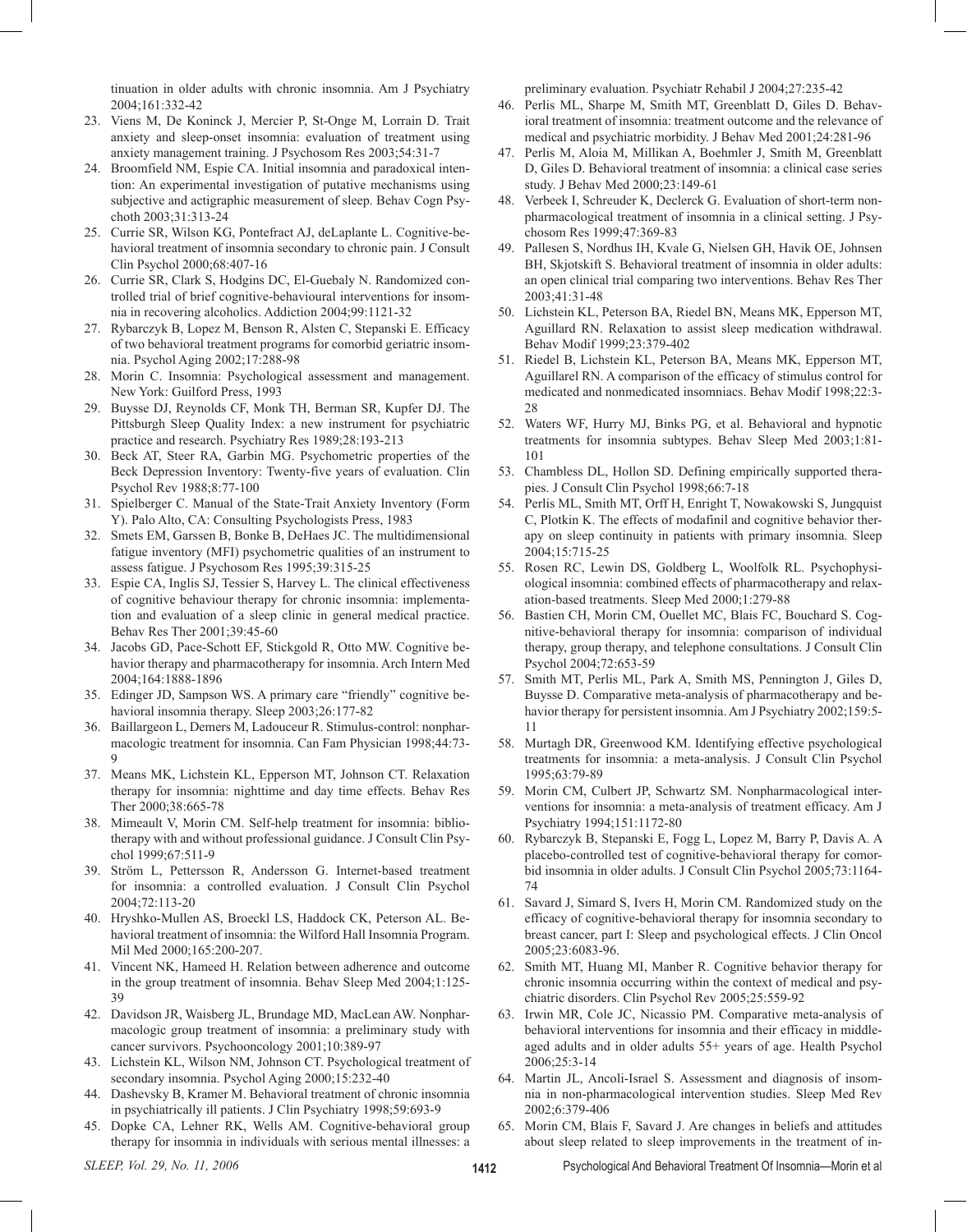tinuation in older adults with chronic insomnia. Am J Psychiatry 2004;161:332-42

- 23. Viens M, De Koninck J, Mercier P, St-Onge M, Lorrain D. Trait anxiety and sleep-onset insomnia: evaluation of treatment using anxiety management training. J Psychosom Res 2003;54:31-7
- 24. Broomfield NM, Espie CA. Initial insomnia and paradoxical intention: An experimental investigation of putative mechanisms using subjective and actigraphic measurement of sleep. Behav Cogn Psychoth 2003;31:313-24
- 25. Currie SR, Wilson KG, Pontefract AJ, deLaplante L. Cognitive-behavioral treatment of insomnia secondary to chronic pain. J Consult Clin Psychol 2000;68:407-16
- 26. Currie SR, Clark S, Hodgins DC, El-Guebaly N. Randomized controlled trial of brief cognitive-behavioural interventions for insomnia in recovering alcoholics. Addiction 2004;99:1121-32
- 27. Rybarczyk B, Lopez M, Benson R, Alsten C, Stepanski E. Efficacy of two behavioral treatment programs for comorbid geriatric insomnia. Psychol Aging 2002;17:288-98
- 28. Morin C. Insomnia: Psychological assessment and management. New York: Guilford Press, 1993
- 29. Buysse DJ, Reynolds CF, Monk TH, Berman SR, Kupfer DJ. The Pittsburgh Sleep Quality Index: a new instrument for psychiatric practice and research. Psychiatry Res 1989;28:193-213
- 30. Beck AT, Steer RA, Garbin MG. Psychometric properties of the Beck Depression Inventory: Twenty-five years of evaluation. Clin Psychol Rev 1988;8:77-100
- 31. Spielberger C. Manual of the State-Trait Anxiety Inventory (Form Y). Palo Alto, CA: Consulting Psychologists Press, 1983
- 32. Smets EM, Garssen B, Bonke B, DeHaes JC. The multidimensional fatigue inventory (MFI) psychometric qualities of an instrument to assess fatigue. J Psychosom Res 1995;39:315-25
- 33. Espie CA, Inglis SJ, Tessier S, Harvey L. The clinical effectiveness of cognitive behaviour therapy for chronic insomnia: implementation and evaluation of a sleep clinic in general medical practice. Behav Res Ther 2001;39:45-60
- 34. Jacobs GD, Pace-Schott EF, Stickgold R, Otto MW. Cognitive behavior therapy and pharmacotherapy for insomnia. Arch Intern Med 2004;164:1888-1896
- 35. Edinger JD, Sampson WS. A primary care "friendly" cognitive behavioral insomnia therapy. Sleep 2003;26:177-82
- 36. Baillargeon L, Demers M, Ladouceur R. Stimulus-control: nonpharmacologic treatment for insomnia. Can Fam Physician 1998;44:73- 9
- 37. Means MK, Lichstein KL, Epperson MT, Johnson CT. Relaxation therapy for insomnia: nighttime and day time effects. Behav Res Ther 2000;38:665-78
- 38. Mimeault V, Morin CM. Self-help treatment for insomnia: bibliotherapy with and without professional guidance. J Consult Clin Psychol 1999;67:511-9
- 39. Ström L, Pettersson R, Andersson G. Internet-based treatment for insomnia: a controlled evaluation. J Consult Clin Psychol 2004;72:113-20
- 40. Hryshko-Mullen AS, Broeckl LS, Haddock CK, Peterson AL. Behavioral treatment of insomnia: the Wilford Hall Insomnia Program. Mil Med 2000;165:200-207.
- 41. Vincent NK, Hameed H. Relation between adherence and outcome in the group treatment of insomnia. Behav Sleep Med 2004;1:125- 39
- 42. Davidson JR, Waisberg JL, Brundage MD, MacLean AW. Nonpharmacologic group treatment of insomnia: a preliminary study with cancer survivors. Psychooncology 2001;10:389-97
- 43. Lichstein KL, Wilson NM, Johnson CT. Psychological treatment of secondary insomnia. Psychol Aging 2000;15:232-40
- 44. Dashevsky B, Kramer M. Behavioral treatment of chronic insomnia in psychiatrically ill patients. J Clin Psychiatry 1998;59:693-9
- 45. Dopke CA, Lehner RK, Wells AM. Cognitive-behavioral group therapy for insomnia in individuals with serious mental illnesses: a

preliminary evaluation. Psychiatr Rehabil J 2004;27:235-42

- 46. Perlis ML, Sharpe M, Smith MT, Greenblatt D, Giles D. Behavioral treatment of insomnia: treatment outcome and the relevance of medical and psychiatric morbidity. J Behav Med 2001;24:281-96
- 47. Perlis M, Aloia M, Millikan A, Boehmler J, Smith M, Greenblatt D, Giles D. Behavioral treatment of insomnia: a clinical case series study. J Behav Med 2000;23:149-61
- 48. Verbeek I, Schreuder K, Declerck G. Evaluation of short-term nonpharmacological treatment of insomnia in a clinical setting. J Psychosom Res 1999;47:369-83
- 49. Pallesen S, Nordhus IH, Kvale G, Nielsen GH, Havik OE, Johnsen BH, Skjotskift S. Behavioral treatment of insomnia in older adults: an open clinical trial comparing two interventions. Behav Res Ther 2003;41:31-48
- 50. Lichstein KL, Peterson BA, Riedel BN, Means MK, Epperson MT, Aguillard RN. Relaxation to assist sleep medication withdrawal. Behav Modif 1999;23:379-402
- 51. Riedel B, Lichstein KL, Peterson BA, Means MK, Epperson MT, Aguillarel RN. A comparison of the efficacy of stimulus control for medicated and nonmedicated insomniacs. Behav Modif 1998;22:3- 28
- 52. Waters WF, Hurry MJ, Binks PG, et al. Behavioral and hypnotic treatments for insomnia subtypes. Behav Sleep Med 2003;1:81- 101
- 53. Chambless DL, Hollon SD. Defining empirically supported therapies. J Consult Clin Psychol 1998;66:7-18
- 54. Perlis ML, Smith MT, Orff H, Enright T, Nowakowski S, Jungquist C, Plotkin K. The effects of modafinil and cognitive behavior therapy on sleep continuity in patients with primary insomnia. Sleep 2004;15:715-25
- 55. Rosen RC, Lewin DS, Goldberg L, Woolfolk RL. Psychophysiological insomnia: combined effects of pharmacotherapy and relaxation-based treatments. Sleep Med 2000;1:279-88
- 56. Bastien CH, Morin CM, Ouellet MC, Blais FC, Bouchard S. Cognitive-behavioral therapy for insomnia: comparison of individual therapy, group therapy, and telephone consultations. J Consult Clin Psychol 2004;72:653-59
- 57. Smith MT, Perlis ML, Park A, Smith MS, Pennington J, Giles D, Buysse D. Comparative meta-analysis of pharmacotherapy and behavior therapy for persistent insomnia. Am J Psychiatry 2002;159:5- 11
- 58. Murtagh DR, Greenwood KM. Identifying effective psychological treatments for insomnia: a meta-analysis. J Consult Clin Psychol 1995;63:79-89
- 59. Morin CM, Culbert JP, Schwartz SM. Nonpharmacological interventions for insomnia: a meta-analysis of treatment efficacy. Am J Psychiatry 1994;151:1172-80
- 60. Rybarczyk B, Stepanski E, Fogg L, Lopez M, Barry P, Davis A. A placebo-controlled test of cognitive-behavioral therapy for comorbid insomnia in older adults. J Consult Clin Psychol 2005;73:1164- 74
- 61. Savard J, Simard S, Ivers H, Morin CM. Randomized study on the efficacy of cognitive-behavioral therapy for insomnia secondary to breast cancer, part I: Sleep and psychological effects. J Clin Oncol 2005;23:6083-96.
- 62. Smith MT, Huang MI, Manber R. Cognitive behavior therapy for chronic insomnia occurring within the context of medical and psychiatric disorders. Clin Psychol Rev 2005;25:559-92
- 63. Irwin MR, Cole JC, Nicassio PM. Comparative meta-analysis of behavioral interventions for insomnia and their efficacy in middleaged adults and in older adults 55+ years of age. Health Psychol 2006;25:3-14
- 64. Martin JL, Ancoli-Israel S. Assessment and diagnosis of insomnia in non-pharmacological intervention studies. Sleep Med Rev 2002;6:379-406
- 65. Morin CM, Blais F, Savard J. Are changes in beliefs and attitudes about sleep related to sleep improvements in the treatment of in-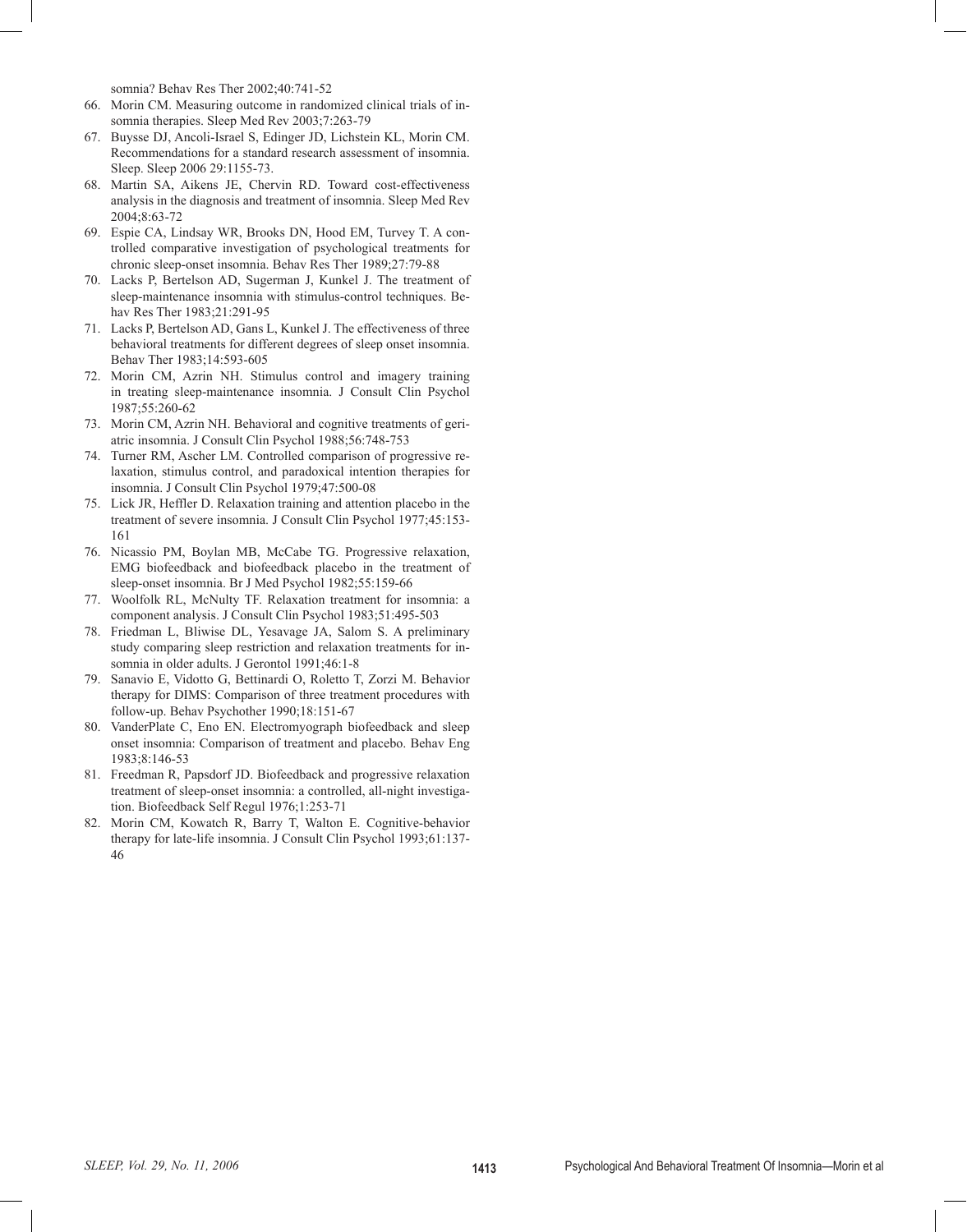somnia? Behav Res Ther 2002;40:741-52

- 66. Morin CM. Measuring outcome in randomized clinical trials of insomnia therapies. Sleep Med Rev 2003;7:263-79
- 67. Buysse DJ, Ancoli-Israel S, Edinger JD, Lichstein KL, Morin CM. Recommendations for a standard research assessment of insomnia. Sleep. Sleep 2006 29:1155-73.
- 68. Martin SA, Aikens JE, Chervin RD. Toward cost-effectiveness analysis in the diagnosis and treatment of insomnia. Sleep Med Rev 2004;8:63-72
- 69. Espie CA, Lindsay WR, Brooks DN, Hood EM, Turvey T. A controlled comparative investigation of psychological treatments for chronic sleep-onset insomnia. Behav Res Ther 1989;27:79-88
- 70. Lacks P, Bertelson AD, Sugerman J, Kunkel J. The treatment of sleep-maintenance insomnia with stimulus-control techniques. Behav Res Ther 1983;21:291-95
- 71. Lacks P, Bertelson AD, Gans L, Kunkel J. The effectiveness of three behavioral treatments for different degrees of sleep onset insomnia. Behav Ther 1983;14:593-605
- 72. Morin CM, Azrin NH. Stimulus control and imagery training in treating sleep-maintenance insomnia. J Consult Clin Psychol 1987;55:260-62
- 73. Morin CM, Azrin NH. Behavioral and cognitive treatments of geriatric insomnia. J Consult Clin Psychol 1988;56:748-753
- 74. Turner RM, Ascher LM. Controlled comparison of progressive relaxation, stimulus control, and paradoxical intention therapies for insomnia. J Consult Clin Psychol 1979;47:500-08
- 75. Lick JR, Heffler D. Relaxation training and attention placebo in the treatment of severe insomnia. J Consult Clin Psychol 1977;45:153- 161
- 76. Nicassio PM, Boylan MB, McCabe TG. Progressive relaxation, EMG biofeedback and biofeedback placebo in the treatment of sleep-onset insomnia. Br J Med Psychol 1982;55:159-66
- 77. Woolfolk RL, McNulty TF. Relaxation treatment for insomnia: a component analysis. J Consult Clin Psychol 1983;51:495-503
- 78. Friedman L, Bliwise DL, Yesavage JA, Salom S. A preliminary study comparing sleep restriction and relaxation treatments for insomnia in older adults. J Gerontol 1991;46:1-8
- 79. Sanavio E, Vidotto G, Bettinardi O, Roletto T, Zorzi M. Behavior therapy for DIMS: Comparison of three treatment procedures with follow-up. Behav Psychother 1990;18:151-67
- 80. VanderPlate C, Eno EN. Electromyograph biofeedback and sleep onset insomnia: Comparison of treatment and placebo. Behav Eng 1983;8:146-53
- 81. Freedman R, Papsdorf JD. Biofeedback and progressive relaxation treatment of sleep-onset insomnia: a controlled, all-night investigation. Biofeedback Self Regul 1976;1:253-71
- 82. Morin CM, Kowatch R, Barry T, Walton E. Cognitive-behavior therapy for late-life insomnia. J Consult Clin Psychol 1993;61:137- 46